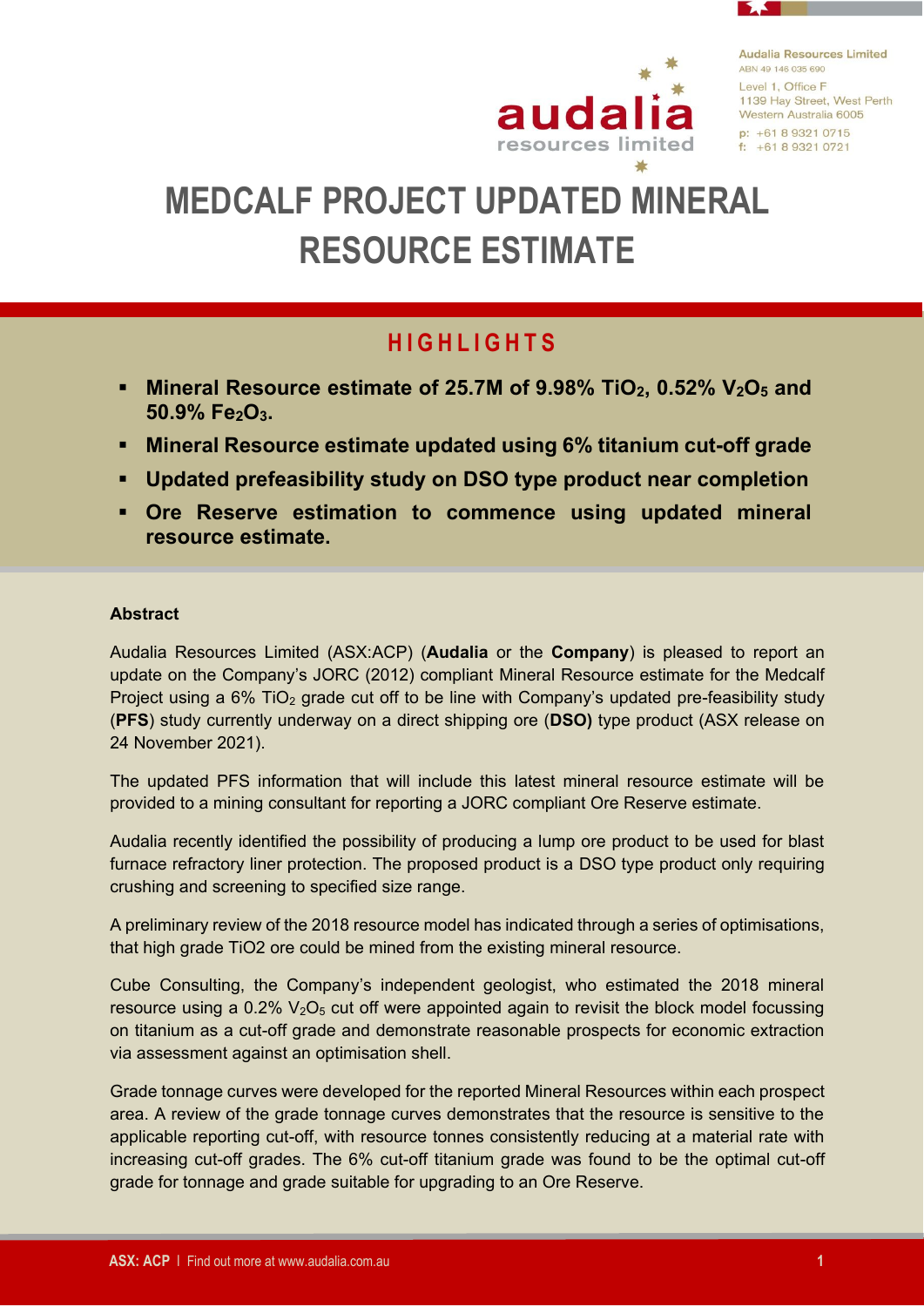

**Audalia Resources Limited** ARN 49 146 035 690 Level 1, Office F 1139 Hay Street, West Perth Western Australia 6005  $p: +61893210715$  $f: +61893210721$ 

# **MEDCALF PROJECT UPDATED MINERAL RESOURCE ESTIMATE**

# **H I G H L I G H T S**

- **Mineral Resource estimate of 25.7M of 9.98% TiO2, 0.52% V2O<sup>5</sup> and 50.9% Fe2O3.**
- **Mineral Resource estimate updated using 6% titanium cut-off grade**
- **Updated prefeasibility study on DSO type product near completion**
- **Ore Reserve estimation to commence using updated mineral resource estimate.**

### **Abstract**

Audalia Resources Limited (ASX:ACP) (**Audalia** or the **Company**) is pleased to report an update on the Company's JORC (2012) compliant Mineral Resource estimate for the Medcalf Project using a  $6\%$  TiO<sub>2</sub> grade cut off to be line with Company's updated pre-feasibility study (**PFS**) study currently underway on a direct shipping ore (**DSO)** type product (ASX release on 24 November 2021).

The updated PFS information that will include this latest mineral resource estimate will be provided to a mining consultant for reporting a JORC compliant Ore Reserve estimate.

Audalia recently identified the possibility of producing a lump ore product to be used for blast furnace refractory liner protection. The proposed product is a DSO type product only requiring crushing and screening to specified size range.

A preliminary review of the 2018 resource model has indicated through a series of optimisations, that high grade TiO2 ore could be mined from the existing mineral resource.

Cube Consulting, the Company's independent geologist, who estimated the 2018 mineral resource using a  $0.2\%$   $V_2O_5$  cut off were appointed again to revisit the block model focussing on titanium as a cut-off grade and demonstrate reasonable prospects for economic extraction via assessment against an optimisation shell.

Grade tonnage curves were developed for the reported Mineral Resources within each prospect area. A review of the grade tonnage curves demonstrates that the resource is sensitive to the applicable reporting cut-off, with resource tonnes consistently reducing at a material rate with increasing cut-off grades. The 6% cut-off titanium grade was found to be the optimal cut-off grade for tonnage and grade suitable for upgrading to an Ore Reserve.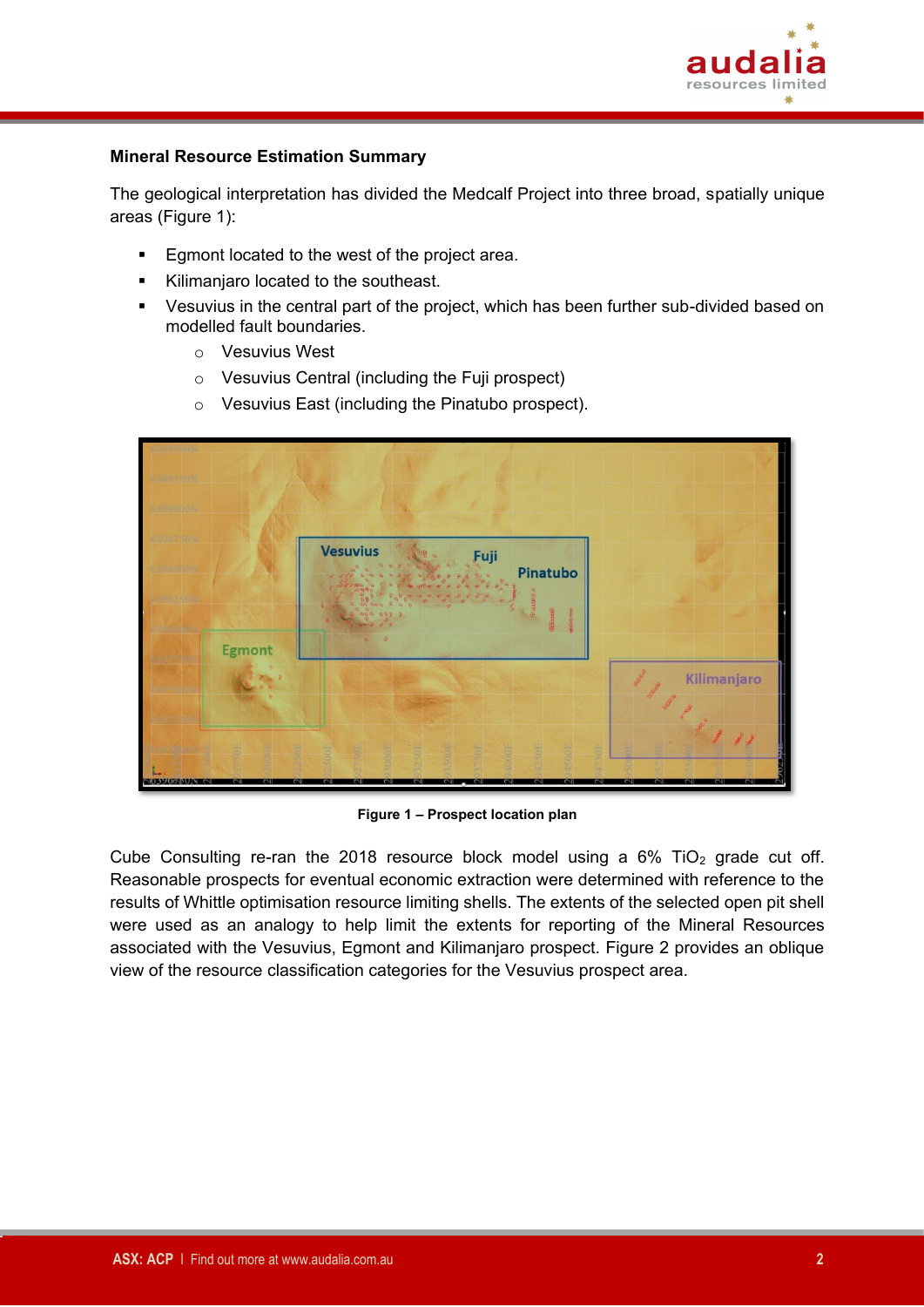

### **Mineral Resource Estimation Summary**

The geological interpretation has divided the Medcalf Project into three broad, spatially unique areas (Figure 1):

- **Egmont located to the west of the project area.**
- Kilimaniaro located to the southeast.
- Vesuvius in the central part of the project, which has been further sub-divided based on modelled fault boundaries.
	- o Vesuvius West
	- o Vesuvius Central (including the Fuji prospect)
	- o Vesuvius East (including the Pinatubo prospect).



**Figure 1 – Prospect location plan**

Cube Consulting re-ran the 2018 resource block model using a  $6\%$  TiO<sub>2</sub> grade cut off. Reasonable prospects for eventual economic extraction were determined with reference to the results of Whittle optimisation resource limiting shells. The extents of the selected open pit shell were used as an analogy to help limit the extents for reporting of the Mineral Resources associated with the Vesuvius, Egmont and Kilimanjaro prospect. Figure 2 provides an oblique view of the resource classification categories for the Vesuvius prospect area.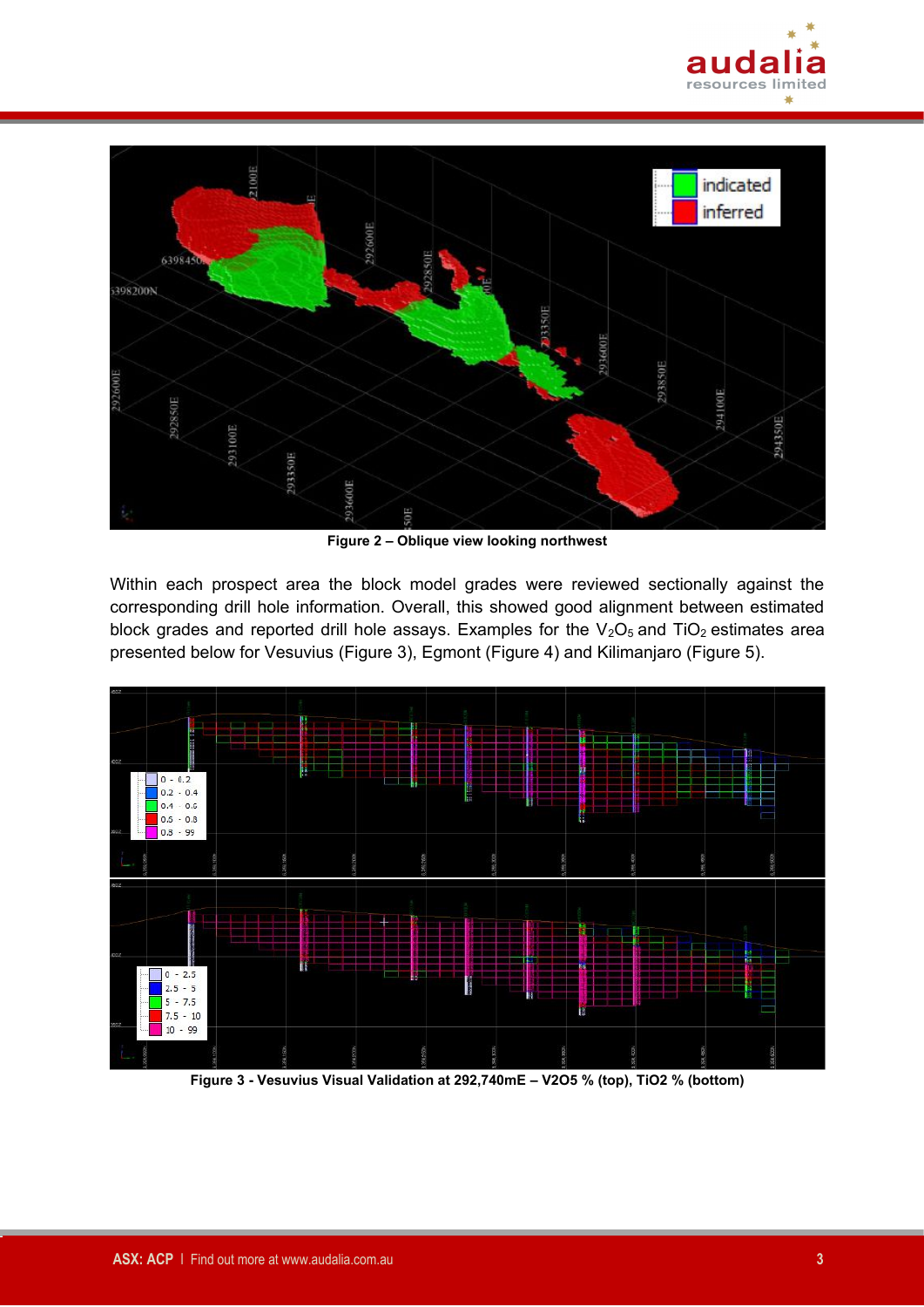



**Figure 2 – Oblique view looking northwest**

Within each prospect area the block model grades were reviewed sectionally against the corresponding drill hole information. Overall, this showed good alignment between estimated block grades and reported drill hole assays. Examples for the  $V_2O_5$  and TiO<sub>2</sub> estimates area presented below for Vesuvius (Figure 3), Egmont (Figure 4) and Kilimanjaro (Figure 5).



**Figure 3 - Vesuvius Visual Validation at 292,740mE – V2O5 % (top), TiO2 % (bottom)**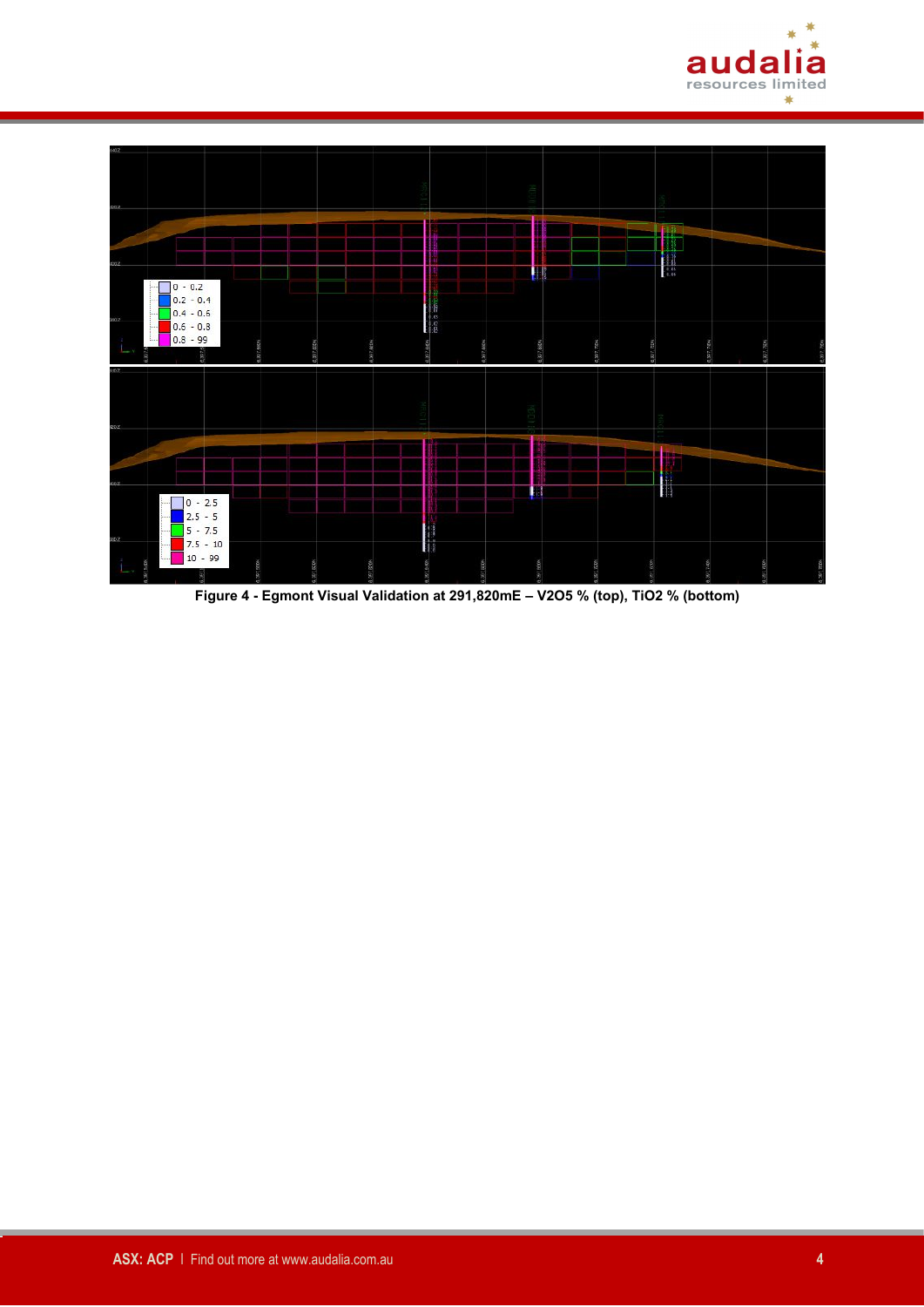



**Figure 4 - Egmont Visual Validation at 291,820mE – V2O5 % (top), TiO2 % (bottom)**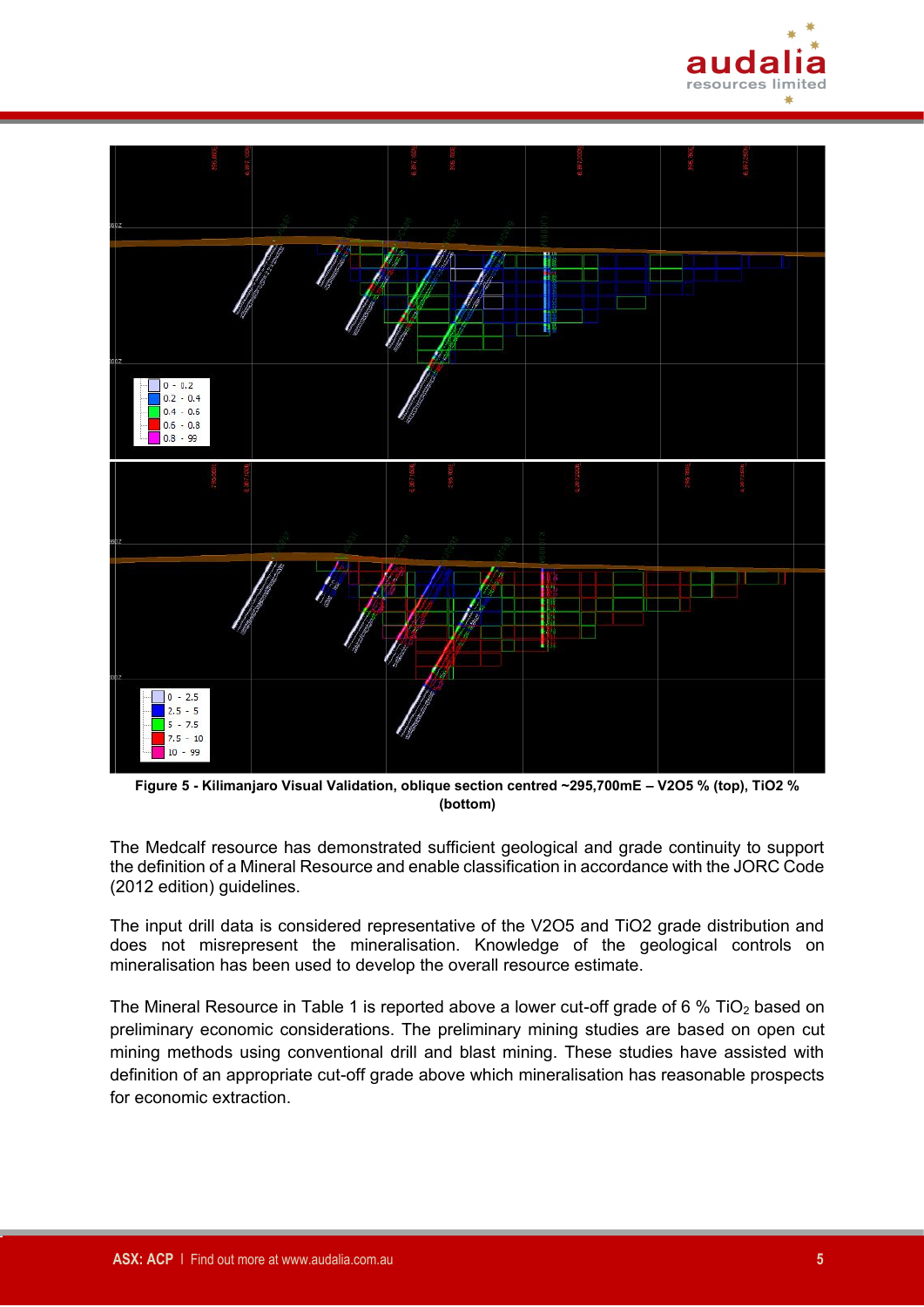



**Figure 5 - Kilimanjaro Visual Validation, oblique section centred ~295,700mE – V2O5 % (top), TiO2 % (bottom)**

The Medcalf resource has demonstrated sufficient geological and grade continuity to support the definition of a Mineral Resource and enable classification in accordance with the JORC Code (2012 edition) guidelines.

The input drill data is considered representative of the V2O5 and TiO2 grade distribution and does not misrepresent the mineralisation. Knowledge of the geological controls on mineralisation has been used to develop the overall resource estimate.

The Mineral Resource in Table 1 is reported above a lower cut-off grade of 6 % TiO<sub>2</sub> based on preliminary economic considerations. The preliminary mining studies are based on open cut mining methods using conventional drill and blast mining. These studies have assisted with definition of an appropriate cut-off grade above which mineralisation has reasonable prospects for economic extraction.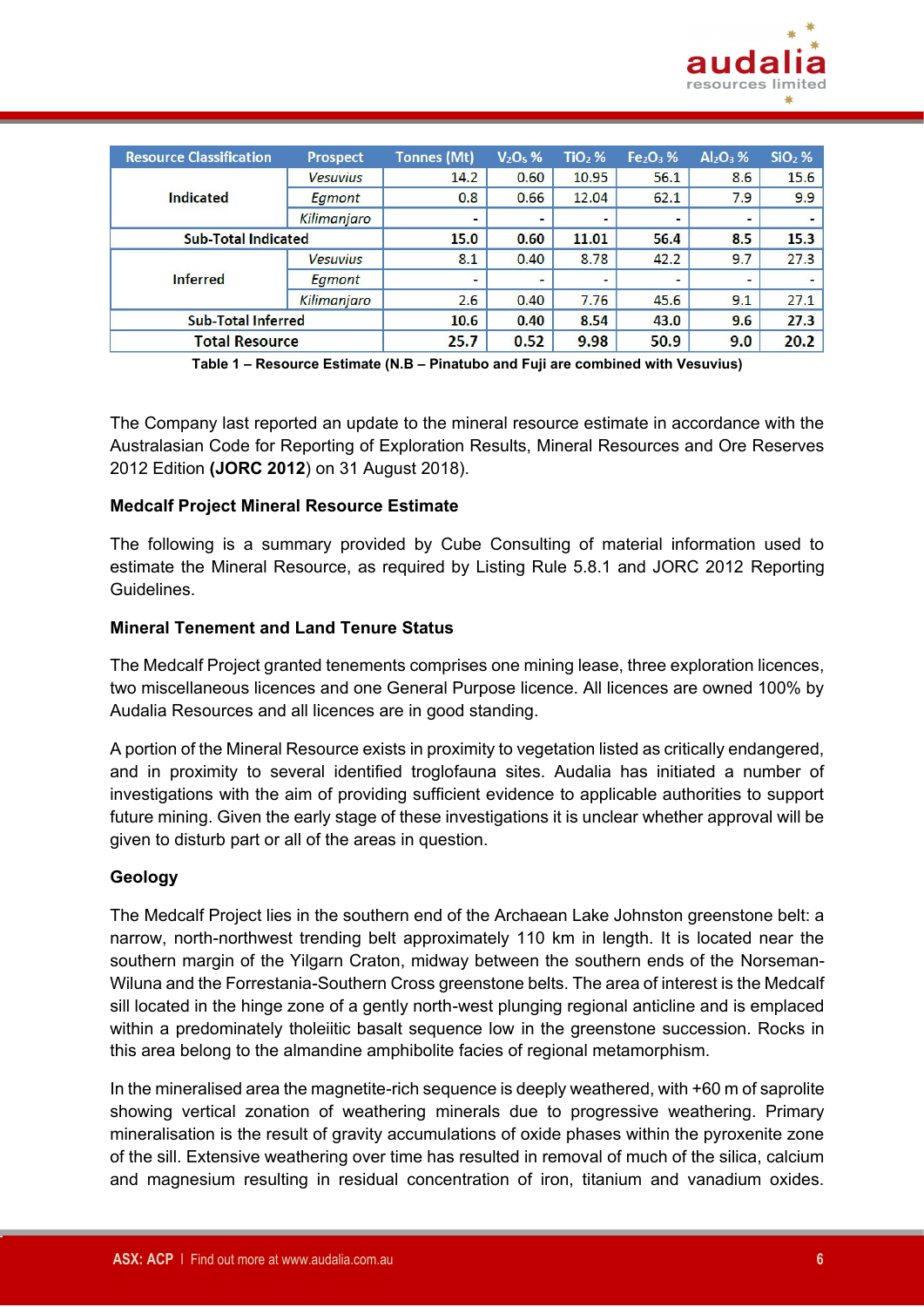

| <b>Resource Classification</b> | <b>Prospect</b> | <b>Tonnes (Mt)</b>       | $V2O5$ % | $TiO2$ % | $Fe2O3$ % | $Al_2O_3$ %              | $SiO2$ % |
|--------------------------------|-----------------|--------------------------|----------|----------|-----------|--------------------------|----------|
|                                | <b>Vesuvius</b> | 14.2                     | 0.60     | 10.95    | 56.1      | 8.6                      | 15.6     |
| <b>Indicated</b>               | Egmont          | 0.8                      | 0.66     | 12.04    | 62.1      | 7.9                      | 9.9      |
|                                | Kilimanjaro     | $\overline{\phantom{a}}$ | ۰        |          |           | $\overline{\phantom{0}}$ | -        |
| <b>Sub-Total Indicated</b>     |                 | 15.0                     | 0.60     | 11.01    | 56.4      | 8.5                      | 15.3     |
|                                | <b>Vesuvius</b> | 8.1                      | 0.40     | 8.78     | 42.2      | 9.7                      | 27.3     |
| <b>Inferred</b>                | Egmont          |                          | -        |          |           |                          |          |
|                                | Kilimanjaro     | 2.6                      | 0.40     | 7.76     | 45.6      | 9.1                      | 27.1     |
| <b>Sub-Total Inferred</b>      |                 | 10.6                     | 0.40     | 8.54     | 43.0      | 9.6                      | 27.3     |
| <b>Total Resource</b>          |                 | 25.7                     | 0.52     | 9.98     | 50.9      | 9.0                      | 20.2     |

**Table 1 – Resource Estimate (N.B – Pinatubo and Fuji are combined with Vesuvius)**

The Company last reported an update to the mineral resource estimate in accordance with the Australasian Code for Reporting of Exploration Results, Mineral Resources and Ore Reserves 2012 Edition **(JORC 2012**) on 31 August 2018).

#### **Medcalf Project Mineral Resource Estimate**

The following is a summary provided by Cube Consulting of material information used to estimate the Mineral Resource, as required by Listing Rule 5.8.1 and JORC 2012 Reporting Guidelines.

#### **Mineral Tenement and Land Tenure Status**

The Medcalf Project granted tenements comprises one mining lease, three exploration licences, two miscellaneous licences and one General Purpose licence. All licences are owned 100% by Audalia Resources and all licences are in good standing.

A portion of the Mineral Resource exists in proximity to vegetation listed as critically endangered, and in proximity to several identified troglofauna sites. Audalia has initiated a number of investigations with the aim of providing sufficient evidence to applicable authorities to support future mining. Given the early stage of these investigations it is unclear whether approval will be given to disturb part or all of the areas in question.

### **Geology**

The Medcalf Project lies in the southern end of the Archaean Lake Johnston greenstone belt: a narrow, north-northwest trending belt approximately 110 km in length. It is located near the southern margin of the Yilgarn Craton, midway between the southern ends of the Norseman-Wiluna and the Forrestania-Southern Cross greenstone belts. The area of interest is the Medcalf sill located in the hinge zone of a gently north-west plunging regional anticline and is emplaced within a predominately tholeiitic basalt sequence low in the greenstone succession. Rocks in this area belong to the almandine amphibolite facies of regional metamorphism.

In the mineralised area the magnetite-rich sequence is deeply weathered, with +60 m of saprolite showing vertical zonation of weathering minerals due to progressive weathering. Primary mineralisation is the result of gravity accumulations of oxide phases within the pyroxenite zone of the sill. Extensive weathering over time has resulted in removal of much of the silica, calcium and magnesium resulting in residual concentration of iron, titanium and vanadium oxides.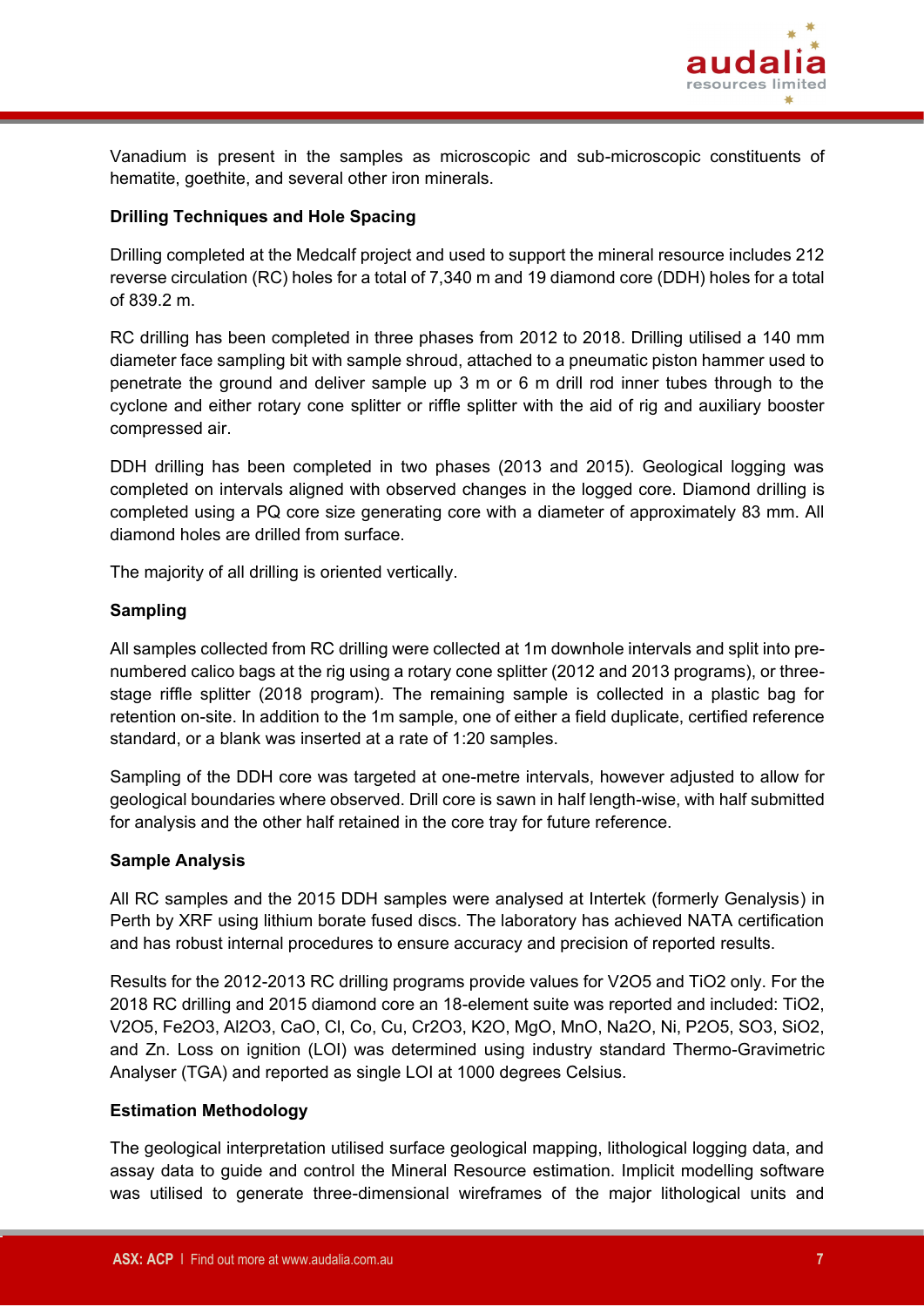

Vanadium is present in the samples as microscopic and sub-microscopic constituents of hematite, goethite, and several other iron minerals.

# **Drilling Techniques and Hole Spacing**

Drilling completed at the Medcalf project and used to support the mineral resource includes 212 reverse circulation (RC) holes for a total of 7,340 m and 19 diamond core (DDH) holes for a total of 839.2 m.

RC drilling has been completed in three phases from 2012 to 2018. Drilling utilised a 140 mm diameter face sampling bit with sample shroud, attached to a pneumatic piston hammer used to penetrate the ground and deliver sample up 3 m or 6 m drill rod inner tubes through to the cyclone and either rotary cone splitter or riffle splitter with the aid of rig and auxiliary booster compressed air.

DDH drilling has been completed in two phases (2013 and 2015). Geological logging was completed on intervals aligned with observed changes in the logged core. Diamond drilling is completed using a PQ core size generating core with a diameter of approximately 83 mm. All diamond holes are drilled from surface.

The majority of all drilling is oriented vertically.

### **Sampling**

All samples collected from RC drilling were collected at 1m downhole intervals and split into prenumbered calico bags at the rig using a rotary cone splitter (2012 and 2013 programs), or threestage riffle splitter (2018 program). The remaining sample is collected in a plastic bag for retention on-site. In addition to the 1m sample, one of either a field duplicate, certified reference standard, or a blank was inserted at a rate of 1:20 samples.

Sampling of the DDH core was targeted at one-metre intervals, however adjusted to allow for geological boundaries where observed. Drill core is sawn in half length-wise, with half submitted for analysis and the other half retained in the core tray for future reference.

#### **Sample Analysis**

All RC samples and the 2015 DDH samples were analysed at Intertek (formerly Genalysis) in Perth by XRF using lithium borate fused discs. The laboratory has achieved NATA certification and has robust internal procedures to ensure accuracy and precision of reported results.

Results for the 2012-2013 RC drilling programs provide values for V2O5 and TiO2 only. For the 2018 RC drilling and 2015 diamond core an 18-element suite was reported and included: TiO2, V2O5, Fe2O3, Al2O3, CaO, Cl, Co, Cu, Cr2O3, K2O, MgO, MnO, Na2O, Ni, P2O5, SO3, SiO2, and Zn. Loss on ignition (LOI) was determined using industry standard Thermo-Gravimetric Analyser (TGA) and reported as single LOI at 1000 degrees Celsius.

### **Estimation Methodology**

The geological interpretation utilised surface geological mapping, lithological logging data, and assay data to guide and control the Mineral Resource estimation. Implicit modelling software was utilised to generate three-dimensional wireframes of the major lithological units and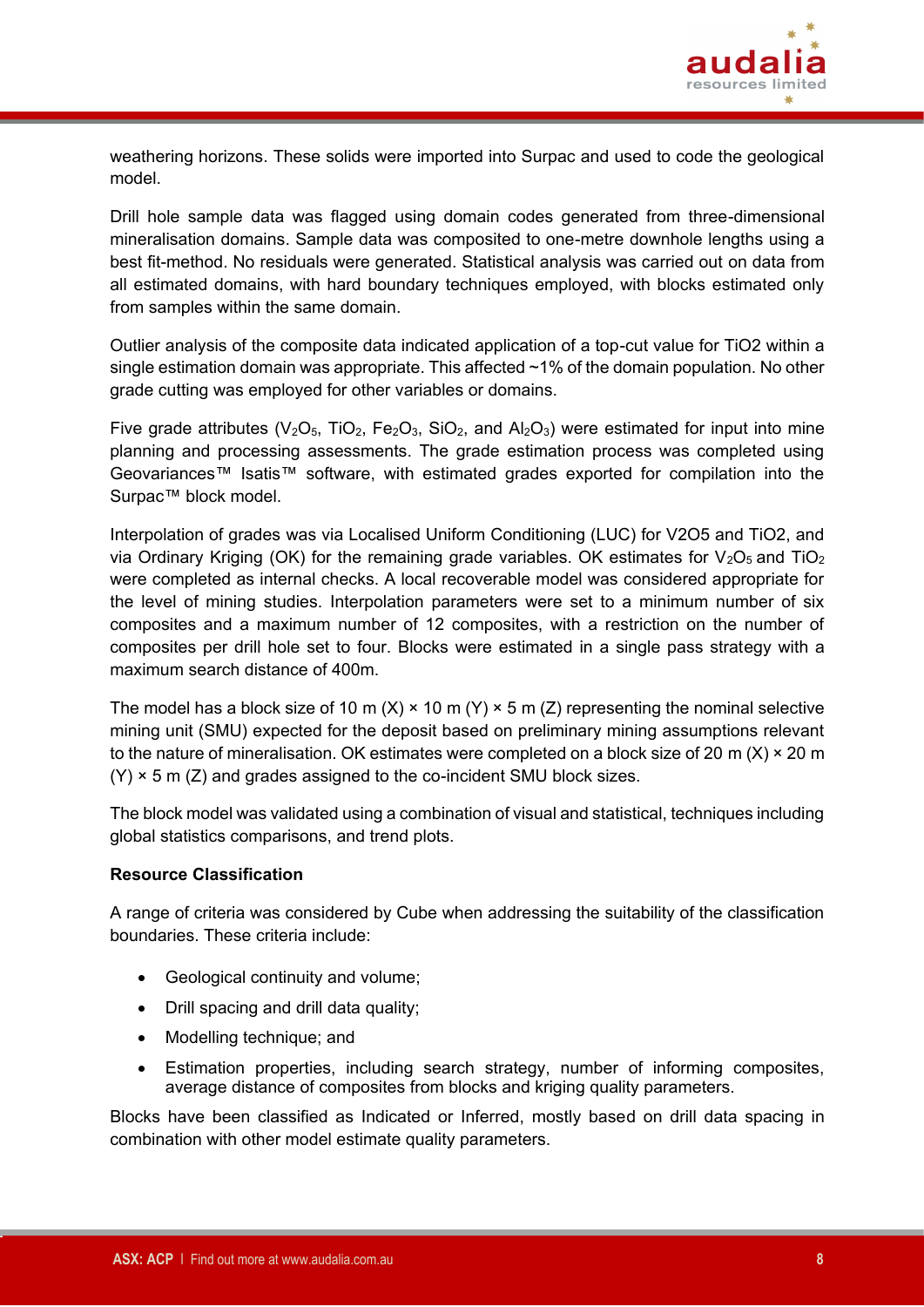

weathering horizons. These solids were imported into Surpac and used to code the geological model.

Drill hole sample data was flagged using domain codes generated from three-dimensional mineralisation domains. Sample data was composited to one-metre downhole lengths using a best fit-method. No residuals were generated. Statistical analysis was carried out on data from all estimated domains, with hard boundary techniques employed, with blocks estimated only from samples within the same domain.

Outlier analysis of the composite data indicated application of a top-cut value for TiO2 within a single estimation domain was appropriate. This affected ~1% of the domain population. No other grade cutting was employed for other variables or domains.

Five grade attributes ( $V_2O_5$ , TiO<sub>2</sub>, Fe<sub>2</sub>O<sub>3</sub>, SiO<sub>2</sub>, and Al<sub>2</sub>O<sub>3</sub>) were estimated for input into mine planning and processing assessments. The grade estimation process was completed using Geovariances™ Isatis™ software, with estimated grades exported for compilation into the Surpac™ block model.

Interpolation of grades was via Localised Uniform Conditioning (LUC) for V2O5 and TiO2, and via Ordinary Kriging (OK) for the remaining grade variables. OK estimates for  $V_2O_5$  and TiO<sub>2</sub> were completed as internal checks. A local recoverable model was considered appropriate for the level of mining studies. Interpolation parameters were set to a minimum number of six composites and a maximum number of 12 composites, with a restriction on the number of composites per drill hole set to four. Blocks were estimated in a single pass strategy with a maximum search distance of 400m.

The model has a block size of 10 m (X)  $\times$  10 m (Y)  $\times$  5 m (Z) representing the nominal selective mining unit (SMU) expected for the deposit based on preliminary mining assumptions relevant to the nature of mineralisation. OK estimates were completed on a block size of 20 m (X)  $\times$  20 m  $(Y)$  × 5 m (Z) and grades assigned to the co-incident SMU block sizes.

The block model was validated using a combination of visual and statistical, techniques including global statistics comparisons, and trend plots.

### **Resource Classification**

A range of criteria was considered by Cube when addressing the suitability of the classification boundaries. These criteria include:

- Geological continuity and volume;
- Drill spacing and drill data quality;
- Modelling technique; and
- Estimation properties, including search strategy, number of informing composites, average distance of composites from blocks and kriging quality parameters.

Blocks have been classified as Indicated or Inferred, mostly based on drill data spacing in combination with other model estimate quality parameters.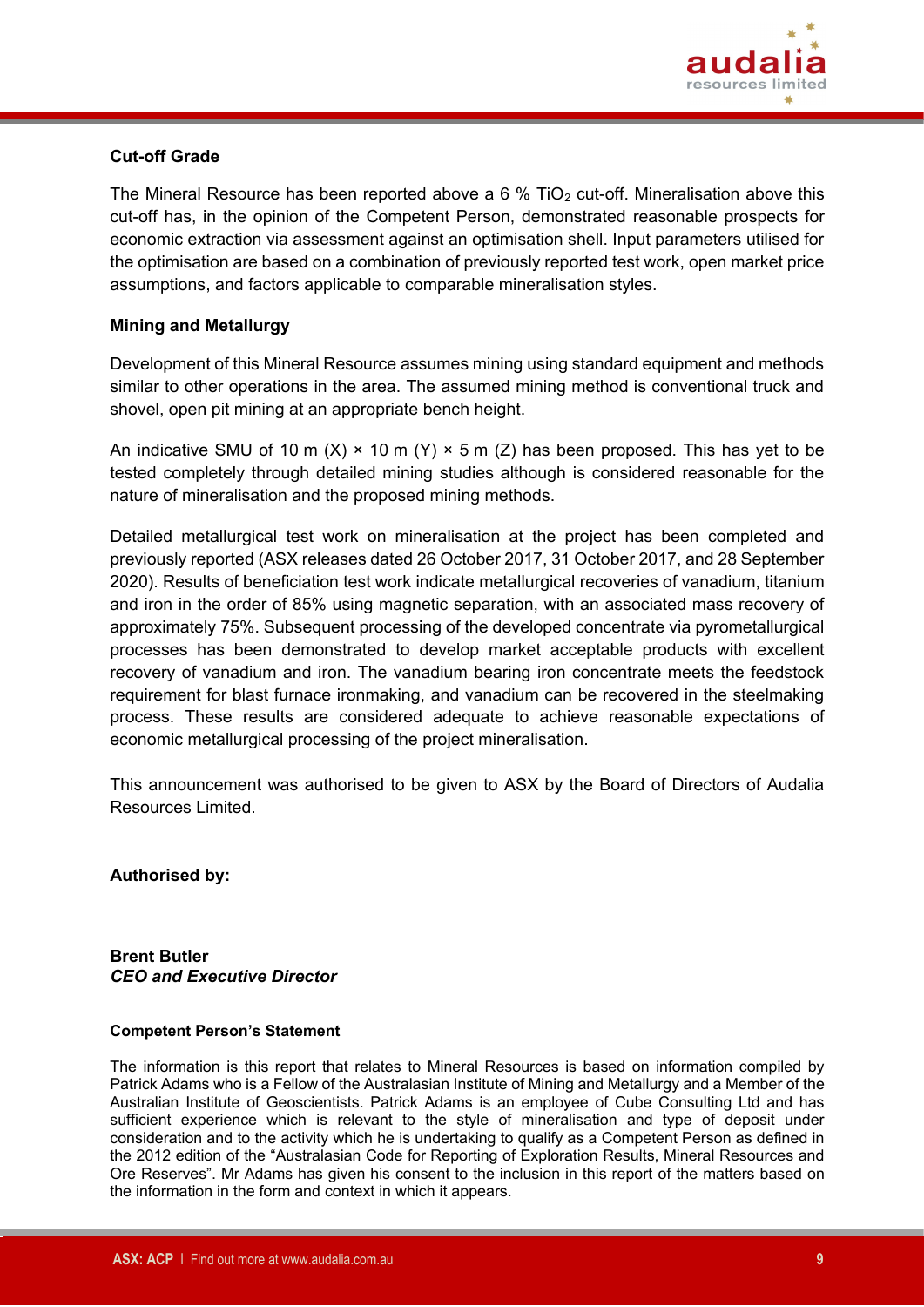

## **Cut-off Grade**

The Mineral Resource has been reported above a 6 % TiO<sub>2</sub> cut-off. Mineralisation above this cut-off has, in the opinion of the Competent Person, demonstrated reasonable prospects for economic extraction via assessment against an optimisation shell. Input parameters utilised for the optimisation are based on a combination of previously reported test work, open market price assumptions, and factors applicable to comparable mineralisation styles.

# **Mining and Metallurgy**

Development of this Mineral Resource assumes mining using standard equipment and methods similar to other operations in the area. The assumed mining method is conventional truck and shovel, open pit mining at an appropriate bench height.

An indicative SMU of 10 m (X)  $\times$  10 m (Y)  $\times$  5 m (Z) has been proposed. This has yet to be tested completely through detailed mining studies although is considered reasonable for the nature of mineralisation and the proposed mining methods.

Detailed metallurgical test work on mineralisation at the project has been completed and previously reported (ASX releases dated 26 October 2017, 31 October 2017, and 28 September 2020). Results of beneficiation test work indicate metallurgical recoveries of vanadium, titanium and iron in the order of 85% using magnetic separation, with an associated mass recovery of approximately 75%. Subsequent processing of the developed concentrate via pyrometallurgical processes has been demonstrated to develop market acceptable products with excellent recovery of vanadium and iron. The vanadium bearing iron concentrate meets the feedstock requirement for blast furnace ironmaking, and vanadium can be recovered in the steelmaking process. These results are considered adequate to achieve reasonable expectations of economic metallurgical processing of the project mineralisation.

This announcement was authorised to be given to ASX by the Board of Directors of Audalia Resources Limited.

**Authorised by:**

#### **Brent Butler**  *CEO and Executive Director*

#### **Competent Person's Statement**

The information is this report that relates to Mineral Resources is based on information compiled by Patrick Adams who is a Fellow of the Australasian Institute of Mining and Metallurgy and a Member of the Australian Institute of Geoscientists. Patrick Adams is an employee of Cube Consulting Ltd and has sufficient experience which is relevant to the style of mineralisation and type of deposit under consideration and to the activity which he is undertaking to qualify as a Competent Person as defined in the 2012 edition of the "Australasian Code for Reporting of Exploration Results, Mineral Resources and Ore Reserves". Mr Adams has given his consent to the inclusion in this report of the matters based on the information in the form and context in which it appears.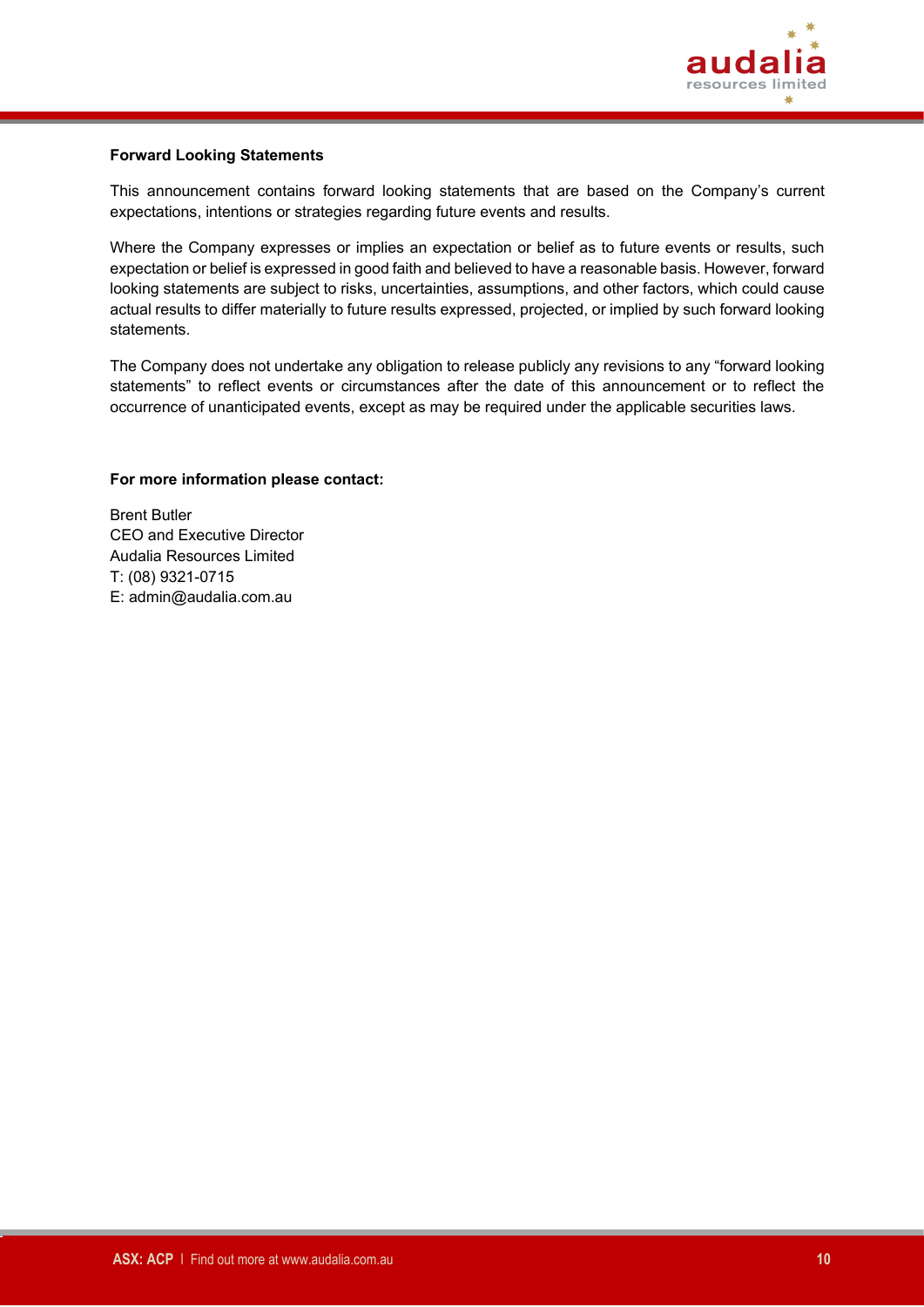

#### **Forward Looking Statements**

This announcement contains forward looking statements that are based on the Company's current expectations, intentions or strategies regarding future events and results.

Where the Company expresses or implies an expectation or belief as to future events or results, such expectation or belief is expressed in good faith and believed to have a reasonable basis. However, forward looking statements are subject to risks, uncertainties, assumptions, and other factors, which could cause actual results to differ materially to future results expressed, projected, or implied by such forward looking statements.

The Company does not undertake any obligation to release publicly any revisions to any "forward looking statements" to reflect events or circumstances after the date of this announcement or to reflect the occurrence of unanticipated events, except as may be required under the applicable securities laws.

#### **For more information please contact:**

Brent Butler CEO and Executive Director Audalia Resources Limited T: (08) 9321-0715 E: admin@audalia.com.au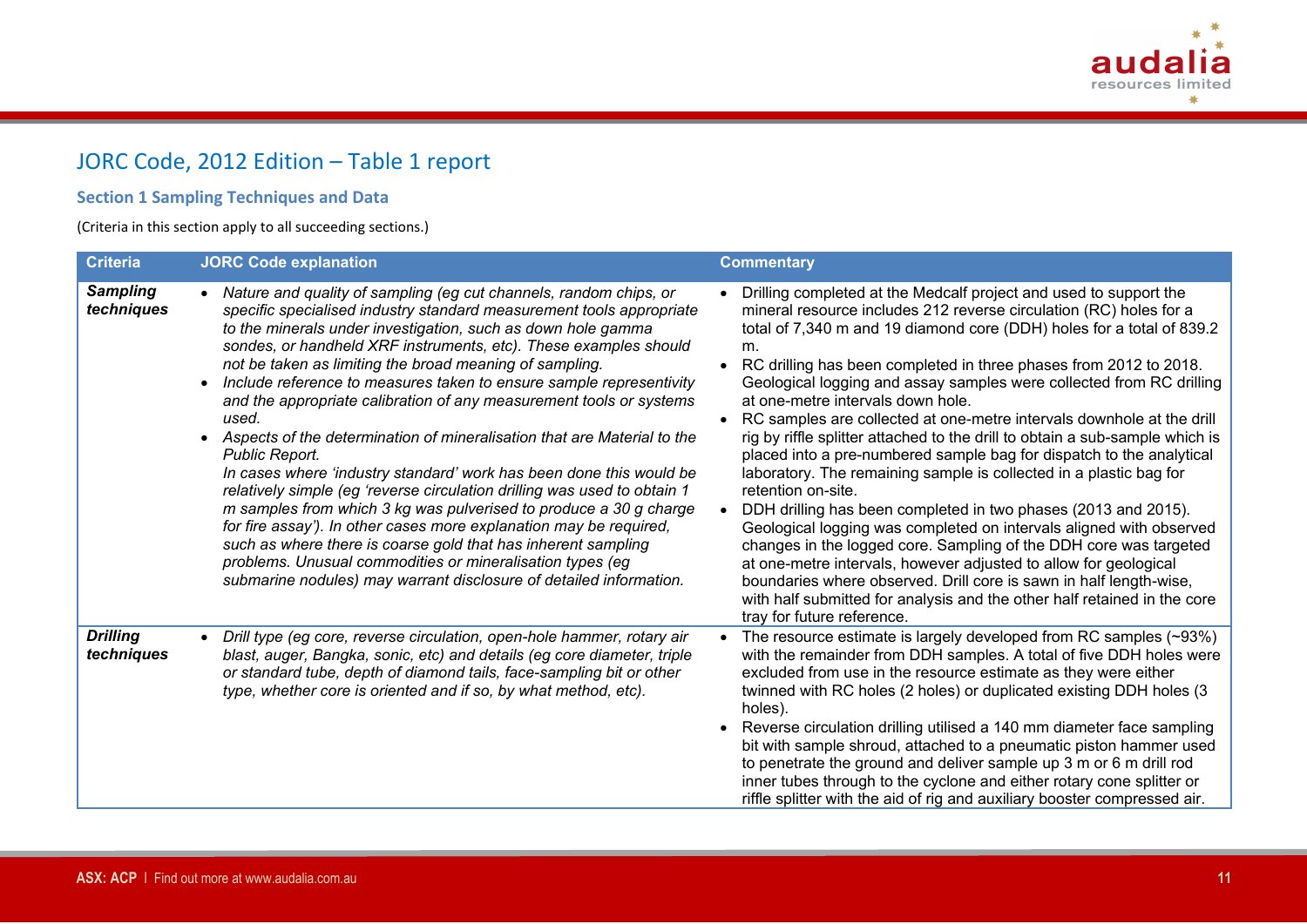

# JORC Code, 2012 Edition – Table 1 report

# **Section 1 Sampling Techniques and Data**

(Criteria in this section apply to all succeeding sections.)

| <b>Criteria</b>               | <b>JORC Code explanation</b>                                                                                                                                                                                                                                                                                                                                                                                                                                                                                                                                                                                                                                                                                                                                                                                                                                                                                                                                                                                                                                                                                  | <b>Commentary</b>                                                                                                                                                                                                                                                                                                                                                                                                                                                                                                                                                                                                                                                                                                                                                                                                                                                                                                                                                                                                                                                                                                                                                                                       |
|-------------------------------|---------------------------------------------------------------------------------------------------------------------------------------------------------------------------------------------------------------------------------------------------------------------------------------------------------------------------------------------------------------------------------------------------------------------------------------------------------------------------------------------------------------------------------------------------------------------------------------------------------------------------------------------------------------------------------------------------------------------------------------------------------------------------------------------------------------------------------------------------------------------------------------------------------------------------------------------------------------------------------------------------------------------------------------------------------------------------------------------------------------|---------------------------------------------------------------------------------------------------------------------------------------------------------------------------------------------------------------------------------------------------------------------------------------------------------------------------------------------------------------------------------------------------------------------------------------------------------------------------------------------------------------------------------------------------------------------------------------------------------------------------------------------------------------------------------------------------------------------------------------------------------------------------------------------------------------------------------------------------------------------------------------------------------------------------------------------------------------------------------------------------------------------------------------------------------------------------------------------------------------------------------------------------------------------------------------------------------|
| <b>Sampling</b><br>techniques | Nature and quality of sampling (eg cut channels, random chips, or<br>$\bullet$<br>specific specialised industry standard measurement tools appropriate<br>to the minerals under investigation, such as down hole gamma<br>sondes, or handheld XRF instruments, etc). These examples should<br>not be taken as limiting the broad meaning of sampling.<br>Include reference to measures taken to ensure sample representivity<br>and the appropriate calibration of any measurement tools or systems<br>used.<br>• Aspects of the determination of mineralisation that are Material to the<br>Public Report.<br>In cases where 'industry standard' work has been done this would be<br>relatively simple (eg 'reverse circulation drilling was used to obtain 1<br>m samples from which 3 kg was pulverised to produce a 30 g charge<br>for fire assay'). In other cases more explanation may be required,<br>such as where there is coarse gold that has inherent sampling<br>problems. Unusual commodities or mineralisation types (eg<br>submarine nodules) may warrant disclosure of detailed information. | Drilling completed at the Medcalf project and used to support the<br>mineral resource includes 212 reverse circulation (RC) holes for a<br>total of 7,340 m and 19 diamond core (DDH) holes for a total of 839.2<br>m.<br>RC drilling has been completed in three phases from 2012 to 2018.<br>Geological logging and assay samples were collected from RC drilling<br>at one-metre intervals down hole.<br>RC samples are collected at one-metre intervals downhole at the drill<br>rig by riffle splitter attached to the drill to obtain a sub-sample which is<br>placed into a pre-numbered sample bag for dispatch to the analytical<br>laboratory. The remaining sample is collected in a plastic bag for<br>retention on-site.<br>DDH drilling has been completed in two phases (2013 and 2015).<br>Geological logging was completed on intervals aligned with observed<br>changes in the logged core. Sampling of the DDH core was targeted<br>at one-metre intervals, however adjusted to allow for geological<br>boundaries where observed. Drill core is sawn in half length-wise,<br>with half submitted for analysis and the other half retained in the core<br>tray for future reference. |
| <b>Drilling</b><br>techniques | Drill type (eg core, reverse circulation, open-hole hammer, rotary air<br>blast, auger, Bangka, sonic, etc) and details (eg core diameter, triple<br>or standard tube, depth of diamond tails, face-sampling bit or other<br>type, whether core is oriented and if so, by what method, etc).                                                                                                                                                                                                                                                                                                                                                                                                                                                                                                                                                                                                                                                                                                                                                                                                                  | The resource estimate is largely developed from RC samples (~93%)<br>with the remainder from DDH samples. A total of five DDH holes were<br>excluded from use in the resource estimate as they were either<br>twinned with RC holes (2 holes) or duplicated existing DDH holes (3<br>holes).<br>Reverse circulation drilling utilised a 140 mm diameter face sampling<br>bit with sample shroud, attached to a pneumatic piston hammer used<br>to penetrate the ground and deliver sample up 3 m or 6 m drill rod<br>inner tubes through to the cyclone and either rotary cone splitter or<br>riffle splitter with the aid of rig and auxiliary booster compressed air.                                                                                                                                                                                                                                                                                                                                                                                                                                                                                                                                 |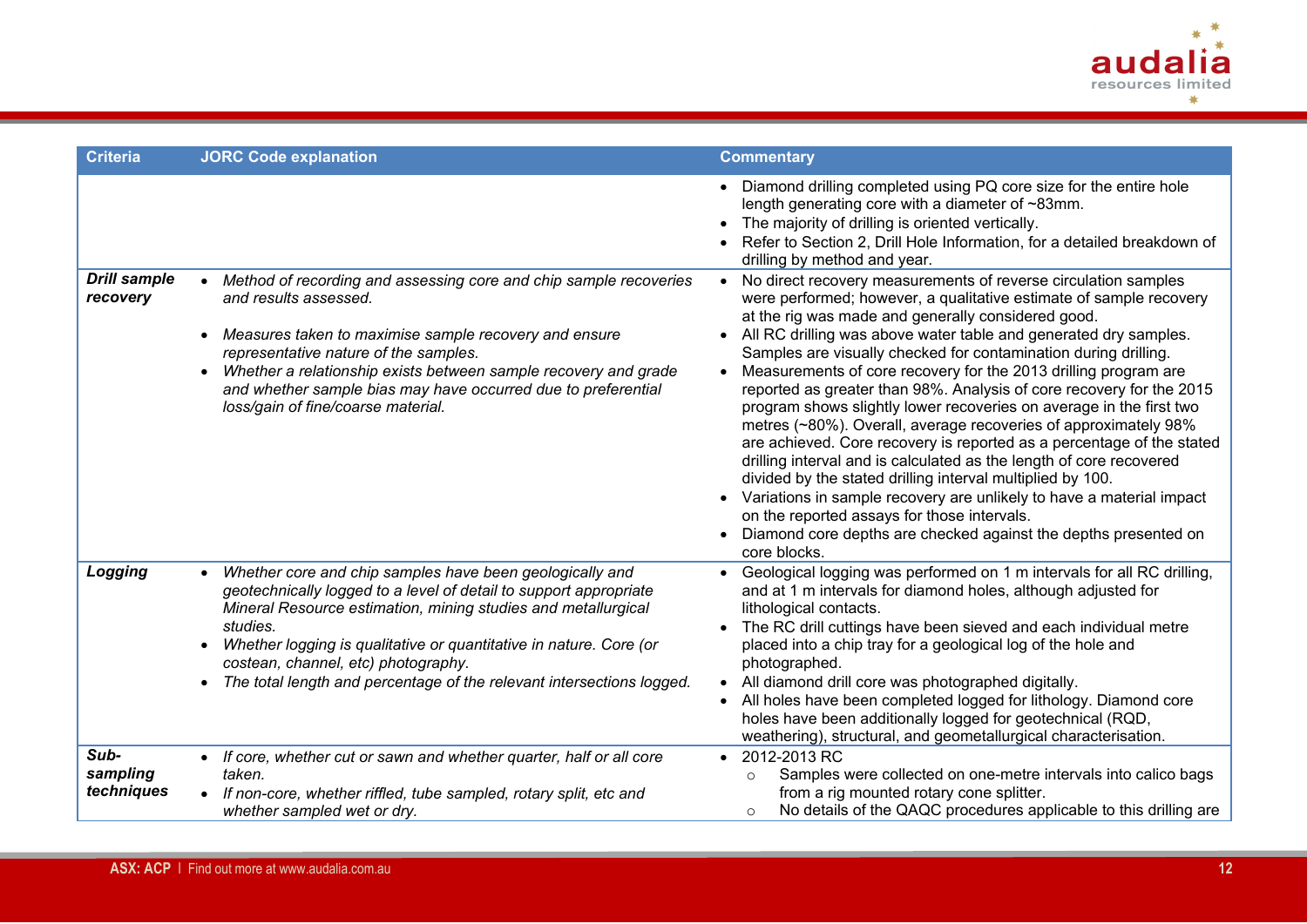

| <b>Criteria</b>                 | <b>JORC Code explanation</b>                                                                                                                                                                                                                                                                                                                                                                     | <b>Commentary</b>                                                                                                                                                                                                                                                                                                                                                                                                                                                                                                                                                                                                                                                                                                                                                                                                                                                                                                                                                                                                                              |
|---------------------------------|--------------------------------------------------------------------------------------------------------------------------------------------------------------------------------------------------------------------------------------------------------------------------------------------------------------------------------------------------------------------------------------------------|------------------------------------------------------------------------------------------------------------------------------------------------------------------------------------------------------------------------------------------------------------------------------------------------------------------------------------------------------------------------------------------------------------------------------------------------------------------------------------------------------------------------------------------------------------------------------------------------------------------------------------------------------------------------------------------------------------------------------------------------------------------------------------------------------------------------------------------------------------------------------------------------------------------------------------------------------------------------------------------------------------------------------------------------|
|                                 |                                                                                                                                                                                                                                                                                                                                                                                                  | Diamond drilling completed using PQ core size for the entire hole<br>length generating core with a diameter of ~83mm.<br>The majority of drilling is oriented vertically.<br>Refer to Section 2, Drill Hole Information, for a detailed breakdown of<br>drilling by method and year.                                                                                                                                                                                                                                                                                                                                                                                                                                                                                                                                                                                                                                                                                                                                                           |
| <b>Drill sample</b><br>recovery | • Method of recording and assessing core and chip sample recoveries<br>and results assessed.<br>Measures taken to maximise sample recovery and ensure<br>representative nature of the samples.<br>Whether a relationship exists between sample recovery and grade<br>and whether sample bias may have occurred due to preferential<br>loss/gain of fine/coarse material.                         | No direct recovery measurements of reverse circulation samples<br>were performed; however, a qualitative estimate of sample recovery<br>at the rig was made and generally considered good.<br>All RC drilling was above water table and generated dry samples.<br>Samples are visually checked for contamination during drilling.<br>Measurements of core recovery for the 2013 drilling program are<br>reported as greater than 98%. Analysis of core recovery for the 2015<br>program shows slightly lower recoveries on average in the first two<br>metres (~80%). Overall, average recoveries of approximately 98%<br>are achieved. Core recovery is reported as a percentage of the stated<br>drilling interval and is calculated as the length of core recovered<br>divided by the stated drilling interval multiplied by 100.<br>Variations in sample recovery are unlikely to have a material impact<br>on the reported assays for those intervals.<br>Diamond core depths are checked against the depths presented on<br>core blocks. |
| Logging                         | Whether core and chip samples have been geologically and<br>geotechnically logged to a level of detail to support appropriate<br>Mineral Resource estimation, mining studies and metallurgical<br>studies.<br>Whether logging is qualitative or quantitative in nature. Core (or<br>costean, channel, etc) photography.<br>The total length and percentage of the relevant intersections logged. | Geological logging was performed on 1 m intervals for all RC drilling,<br>and at 1 m intervals for diamond holes, although adjusted for<br>lithological contacts.<br>The RC drill cuttings have been sieved and each individual metre<br>placed into a chip tray for a geological log of the hole and<br>photographed.<br>All diamond drill core was photographed digitally.<br>All holes have been completed logged for lithology. Diamond core<br>holes have been additionally logged for geotechnical (RQD,<br>weathering), structural, and geometallurgical characterisation.                                                                                                                                                                                                                                                                                                                                                                                                                                                              |
| Sub-<br>sampling<br>techniques  | • If core, whether cut or sawn and whether quarter, half or all core<br>taken.<br>• If non-core, whether riffled, tube sampled, rotary split, etc and<br>whether sampled wet or dry.                                                                                                                                                                                                             | 2012-2013 RC<br>Samples were collected on one-metre intervals into calico bags<br>$\circ$<br>from a rig mounted rotary cone splitter.<br>No details of the QAQC procedures applicable to this drilling are<br>$\circ$                                                                                                                                                                                                                                                                                                                                                                                                                                                                                                                                                                                                                                                                                                                                                                                                                          |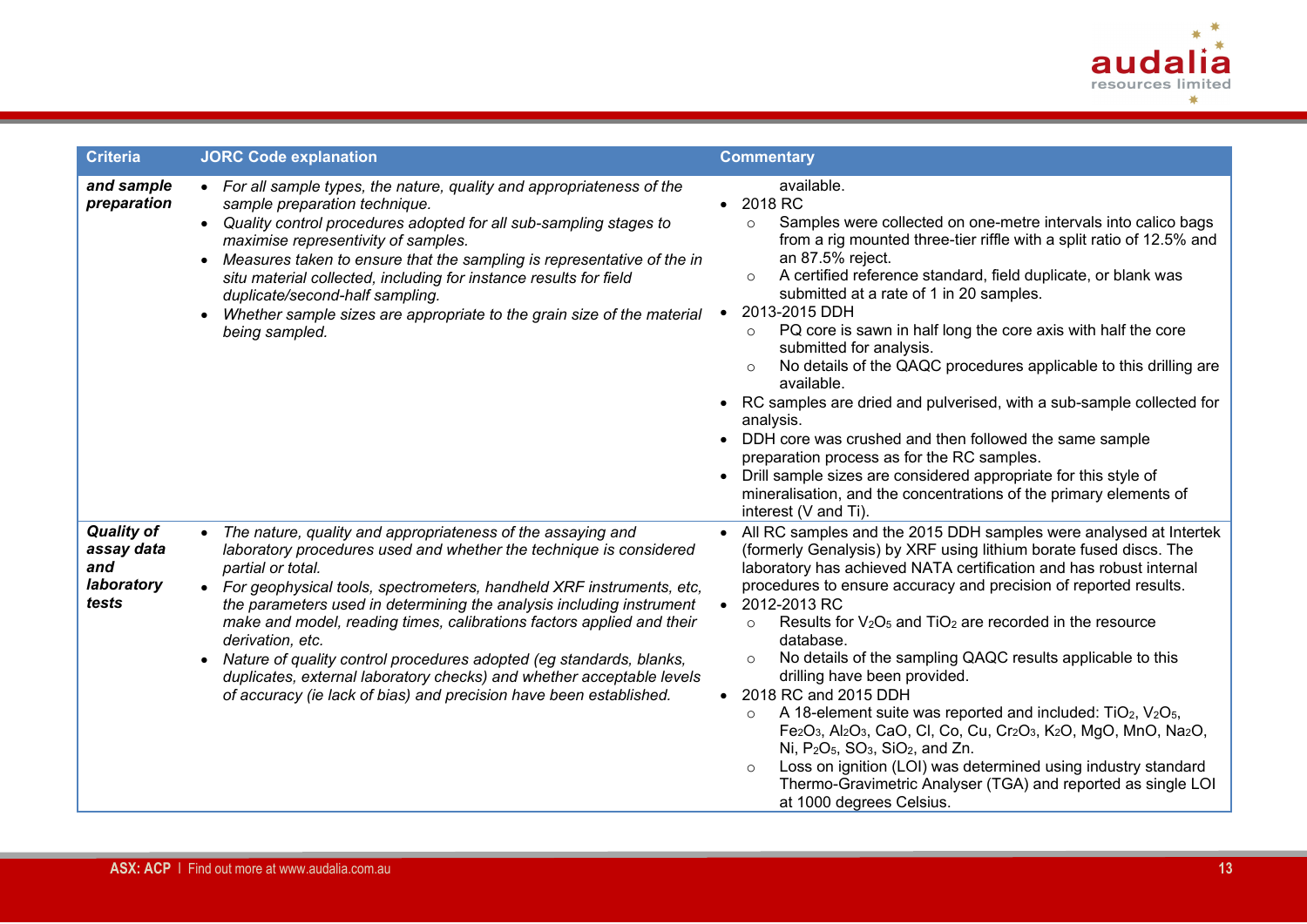

| <b>Criteria</b>                                               | <b>JORC Code explanation</b>                                                                                                                                                                                                                                                                                                                                                                                                                                                                                                                                                                                                               | <b>Commentary</b>                                                                                                                                                                                                                                                                                                                                                                                                                                                                                                                                                                                                                                                                                                                                                                                                                                                                                                                                                                                |
|---------------------------------------------------------------|--------------------------------------------------------------------------------------------------------------------------------------------------------------------------------------------------------------------------------------------------------------------------------------------------------------------------------------------------------------------------------------------------------------------------------------------------------------------------------------------------------------------------------------------------------------------------------------------------------------------------------------------|--------------------------------------------------------------------------------------------------------------------------------------------------------------------------------------------------------------------------------------------------------------------------------------------------------------------------------------------------------------------------------------------------------------------------------------------------------------------------------------------------------------------------------------------------------------------------------------------------------------------------------------------------------------------------------------------------------------------------------------------------------------------------------------------------------------------------------------------------------------------------------------------------------------------------------------------------------------------------------------------------|
| and sample<br>preparation                                     | • For all sample types, the nature, quality and appropriateness of the<br>sample preparation technique.<br>• Quality control procedures adopted for all sub-sampling stages to<br>maximise representivity of samples.<br>Measures taken to ensure that the sampling is representative of the in<br>$\bullet$<br>situ material collected, including for instance results for field<br>duplicate/second-half sampling.<br>Whether sample sizes are appropriate to the grain size of the material<br>being sampled.                                                                                                                           | available.<br>• 2018 RC<br>Samples were collected on one-metre intervals into calico bags<br>$\circ$<br>from a rig mounted three-tier riffle with a split ratio of 12.5% and<br>an 87.5% reject.<br>A certified reference standard, field duplicate, or blank was<br>$\circ$<br>submitted at a rate of 1 in 20 samples.<br>2013-2015 DDH<br>PQ core is sawn in half long the core axis with half the core<br>$\circ$<br>submitted for analysis.<br>No details of the QAQC procedures applicable to this drilling are<br>$\circ$<br>available.<br>RC samples are dried and pulverised, with a sub-sample collected for<br>analysis.<br>DDH core was crushed and then followed the same sample<br>preparation process as for the RC samples.<br>Drill sample sizes are considered appropriate for this style of<br>mineralisation, and the concentrations of the primary elements of<br>interest (V and Ti).                                                                                       |
| <b>Quality of</b><br>assay data<br>and<br>laboratory<br>tests | • The nature, quality and appropriateness of the assaying and<br>laboratory procedures used and whether the technique is considered<br>partial or total.<br>• For geophysical tools, spectrometers, handheld XRF instruments, etc,<br>the parameters used in determining the analysis including instrument<br>make and model, reading times, calibrations factors applied and their<br>derivation, etc.<br>Nature of quality control procedures adopted (eg standards, blanks,<br>$\bullet$<br>duplicates, external laboratory checks) and whether acceptable levels<br>of accuracy (ie lack of bias) and precision have been established. | All RC samples and the 2015 DDH samples were analysed at Intertek<br>(formerly Genalysis) by XRF using lithium borate fused discs. The<br>laboratory has achieved NATA certification and has robust internal<br>procedures to ensure accuracy and precision of reported results.<br>2012-2013 RC<br>Results for $V_2O_5$ and $TiO_2$ are recorded in the resource<br>$\circ$<br>database.<br>No details of the sampling QAQC results applicable to this<br>$\circ$<br>drilling have been provided.<br>2018 RC and 2015 DDH<br>A 18-element suite was reported and included: $TiO2, V2O5$ ,<br>$\circ$<br>Fe <sub>2</sub> O <sub>3</sub> , Al <sub>2</sub> O <sub>3</sub> , CaO, Cl, Co, Cu, Cr <sub>2</sub> O <sub>3</sub> , K <sub>2</sub> O, MgO, MnO, Na <sub>2</sub> O,<br>Ni, $P_2O_5$ , $SO_3$ , $SiO_2$ , and Zn.<br>Loss on ignition (LOI) was determined using industry standard<br>$\circ$<br>Thermo-Gravimetric Analyser (TGA) and reported as single LOI<br>at 1000 degrees Celsius. |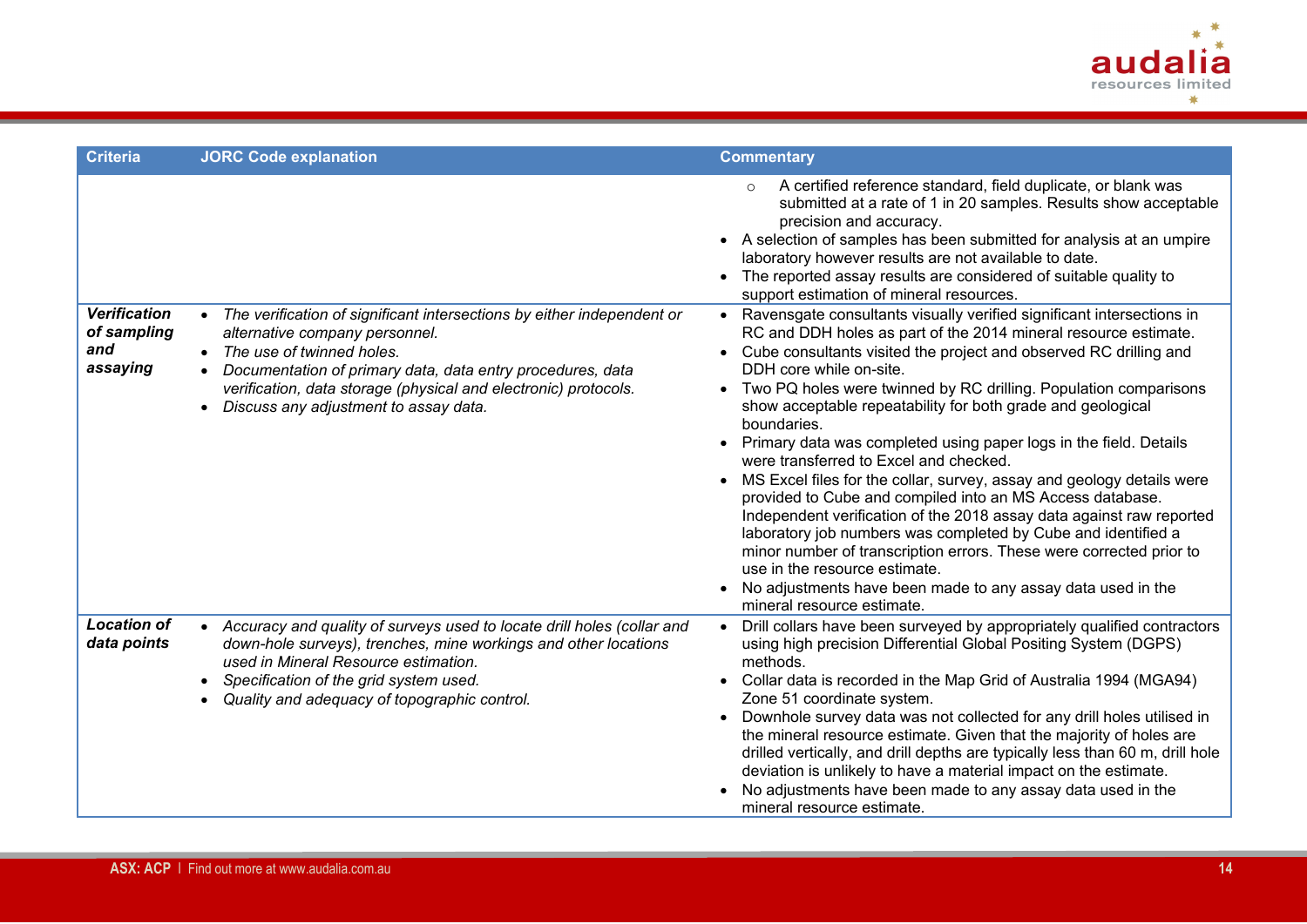

| <b>Criteria</b>                                       | <b>JORC Code explanation</b>                                                                                                                                                                                                                                                                                                                  | <b>Commentary</b>                                                                                                                                                                                                                                                                                                                                                                                                                                                                                                                                                                                                                                                                                                                                                                                                                                                                                                                                                                                                                                                                                                                                                                                                                                                                                                                                                                                                                      |
|-------------------------------------------------------|-----------------------------------------------------------------------------------------------------------------------------------------------------------------------------------------------------------------------------------------------------------------------------------------------------------------------------------------------|----------------------------------------------------------------------------------------------------------------------------------------------------------------------------------------------------------------------------------------------------------------------------------------------------------------------------------------------------------------------------------------------------------------------------------------------------------------------------------------------------------------------------------------------------------------------------------------------------------------------------------------------------------------------------------------------------------------------------------------------------------------------------------------------------------------------------------------------------------------------------------------------------------------------------------------------------------------------------------------------------------------------------------------------------------------------------------------------------------------------------------------------------------------------------------------------------------------------------------------------------------------------------------------------------------------------------------------------------------------------------------------------------------------------------------------|
| <b>Verification</b><br>of sampling<br>and<br>assaying | • The verification of significant intersections by either independent or<br>alternative company personnel.<br>• The use of twinned holes.<br>Documentation of primary data, data entry procedures, data<br>$\bullet$<br>verification, data storage (physical and electronic) protocols.<br>Discuss any adjustment to assay data.<br>$\bullet$ | A certified reference standard, field duplicate, or blank was<br>submitted at a rate of 1 in 20 samples. Results show acceptable<br>precision and accuracy.<br>A selection of samples has been submitted for analysis at an umpire<br>laboratory however results are not available to date.<br>The reported assay results are considered of suitable quality to<br>support estimation of mineral resources.<br>Ravensgate consultants visually verified significant intersections in<br>RC and DDH holes as part of the 2014 mineral resource estimate.<br>Cube consultants visited the project and observed RC drilling and<br>$\bullet$<br>DDH core while on-site.<br>Two PQ holes were twinned by RC drilling. Population comparisons<br>show acceptable repeatability for both grade and geological<br>boundaries.<br>Primary data was completed using paper logs in the field. Details<br>$\bullet$<br>were transferred to Excel and checked.<br>MS Excel files for the collar, survey, assay and geology details were<br>provided to Cube and compiled into an MS Access database.<br>Independent verification of the 2018 assay data against raw reported<br>laboratory job numbers was completed by Cube and identified a<br>minor number of transcription errors. These were corrected prior to<br>use in the resource estimate.<br>No adjustments have been made to any assay data used in the<br>mineral resource estimate. |
| <b>Location of</b><br>data points                     | • Accuracy and quality of surveys used to locate drill holes (collar and<br>down-hole surveys), trenches, mine workings and other locations<br>used in Mineral Resource estimation.<br>Specification of the grid system used.<br>Quality and adequacy of topographic control.                                                                 | Drill collars have been surveyed by appropriately qualified contractors<br>using high precision Differential Global Positing System (DGPS)<br>methods.<br>Collar data is recorded in the Map Grid of Australia 1994 (MGA94)<br>Zone 51 coordinate system.<br>Downhole survey data was not collected for any drill holes utilised in<br>the mineral resource estimate. Given that the majority of holes are<br>drilled vertically, and drill depths are typically less than 60 m, drill hole<br>deviation is unlikely to have a material impact on the estimate.<br>No adjustments have been made to any assay data used in the<br>mineral resource estimate.                                                                                                                                                                                                                                                                                                                                                                                                                                                                                                                                                                                                                                                                                                                                                                           |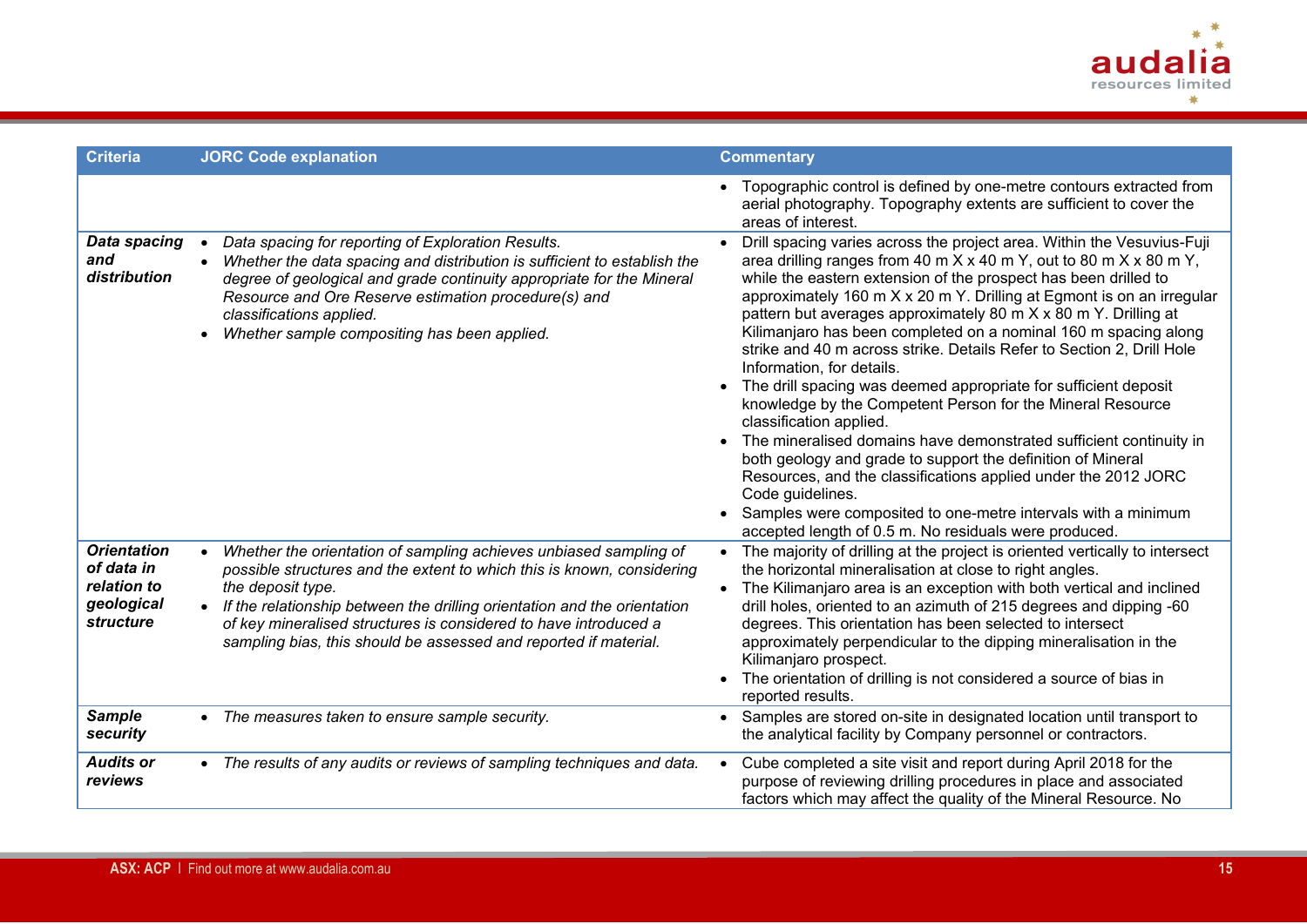

| <b>Criteria</b>                                                            | <b>JORC Code explanation</b>                                                                                                                                                                                                                                                                                                                                                                        | <b>Commentary</b>                                                                                                                                                                                                                                                                                                                                                                                                                                                                                                                                                                                                                                                                                                                                                                                                                                                                                                                                                                                                                                                             |
|----------------------------------------------------------------------------|-----------------------------------------------------------------------------------------------------------------------------------------------------------------------------------------------------------------------------------------------------------------------------------------------------------------------------------------------------------------------------------------------------|-------------------------------------------------------------------------------------------------------------------------------------------------------------------------------------------------------------------------------------------------------------------------------------------------------------------------------------------------------------------------------------------------------------------------------------------------------------------------------------------------------------------------------------------------------------------------------------------------------------------------------------------------------------------------------------------------------------------------------------------------------------------------------------------------------------------------------------------------------------------------------------------------------------------------------------------------------------------------------------------------------------------------------------------------------------------------------|
|                                                                            |                                                                                                                                                                                                                                                                                                                                                                                                     | • Topographic control is defined by one-metre contours extracted from<br>aerial photography. Topography extents are sufficient to cover the<br>areas of interest.                                                                                                                                                                                                                                                                                                                                                                                                                                                                                                                                                                                                                                                                                                                                                                                                                                                                                                             |
| <b>Data spacing</b><br>and<br>distribution                                 | Data spacing for reporting of Exploration Results.<br>$\bullet$<br>Whether the data spacing and distribution is sufficient to establish the<br>$\bullet$<br>degree of geological and grade continuity appropriate for the Mineral<br>Resource and Ore Reserve estimation procedure(s) and<br>classifications applied.<br>Whether sample compositing has been applied.                               | Drill spacing varies across the project area. Within the Vesuvius-Fuji<br>area drilling ranges from 40 m $X \times 40$ m $Y$ , out to 80 m $X \times 80$ m $Y$ ,<br>while the eastern extension of the prospect has been drilled to<br>approximately 160 m X x 20 m Y. Drilling at Egmont is on an irregular<br>pattern but averages approximately 80 m X x 80 m Y. Drilling at<br>Kilimanjaro has been completed on a nominal 160 m spacing along<br>strike and 40 m across strike. Details Refer to Section 2, Drill Hole<br>Information, for details.<br>• The drill spacing was deemed appropriate for sufficient deposit<br>knowledge by the Competent Person for the Mineral Resource<br>classification applied.<br>The mineralised domains have demonstrated sufficient continuity in<br>both geology and grade to support the definition of Mineral<br>Resources, and the classifications applied under the 2012 JORC<br>Code guidelines.<br>• Samples were composited to one-metre intervals with a minimum<br>accepted length of 0.5 m. No residuals were produced. |
| <b>Orientation</b><br>of data in<br>relation to<br>geological<br>structure | Whether the orientation of sampling achieves unbiased sampling of<br>$\bullet$<br>possible structures and the extent to which this is known, considering<br>the deposit type.<br>• If the relationship between the drilling orientation and the orientation<br>of key mineralised structures is considered to have introduced a<br>sampling bias, this should be assessed and reported if material. | • The majority of drilling at the project is oriented vertically to intersect<br>the horizontal mineralisation at close to right angles.<br>• The Kilimanjaro area is an exception with both vertical and inclined<br>drill holes, oriented to an azimuth of 215 degrees and dipping -60<br>degrees. This orientation has been selected to intersect<br>approximately perpendicular to the dipping mineralisation in the<br>Kilimanjaro prospect.<br>The orientation of drilling is not considered a source of bias in<br>reported results.                                                                                                                                                                                                                                                                                                                                                                                                                                                                                                                                   |
| <b>Sample</b><br>security                                                  | • The measures taken to ensure sample security.                                                                                                                                                                                                                                                                                                                                                     | • Samples are stored on-site in designated location until transport to<br>the analytical facility by Company personnel or contractors.                                                                                                                                                                                                                                                                                                                                                                                                                                                                                                                                                                                                                                                                                                                                                                                                                                                                                                                                        |
| <b>Audits or</b><br>reviews                                                | • The results of any audits or reviews of sampling techniques and data.                                                                                                                                                                                                                                                                                                                             | Cube completed a site visit and report during April 2018 for the<br>purpose of reviewing drilling procedures in place and associated<br>factors which may affect the quality of the Mineral Resource. No                                                                                                                                                                                                                                                                                                                                                                                                                                                                                                                                                                                                                                                                                                                                                                                                                                                                      |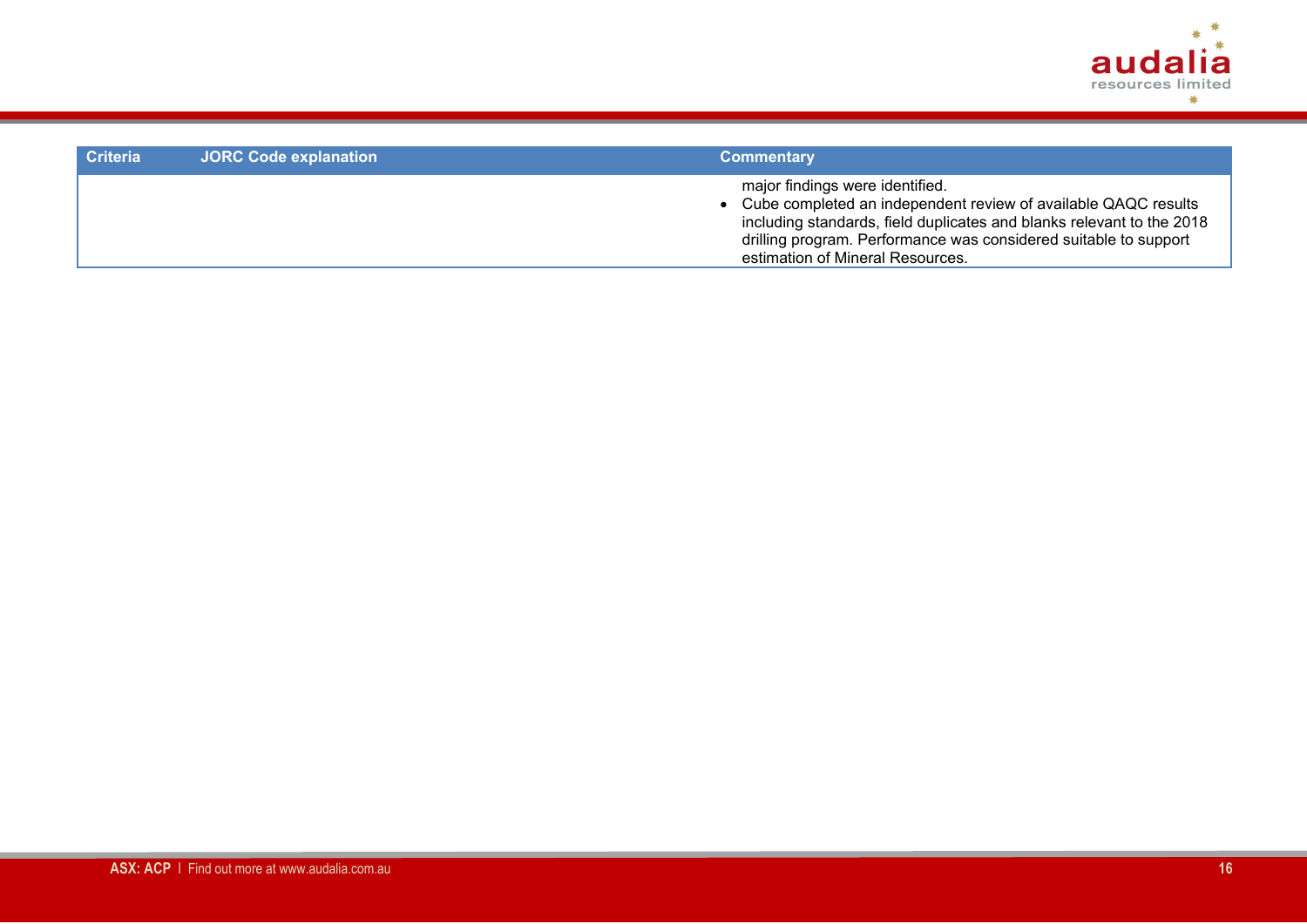

| <b>Criteria</b> | <b>JORC Code explanation</b> | <b>Commentary</b>                                                                                                                                                                                                                                                                    |
|-----------------|------------------------------|--------------------------------------------------------------------------------------------------------------------------------------------------------------------------------------------------------------------------------------------------------------------------------------|
|                 |                              | major findings were identified.<br>• Cube completed an independent review of available QAQC results<br>including standards, field duplicates and blanks relevant to the 2018<br>drilling program. Performance was considered suitable to support<br>estimation of Mineral Resources. |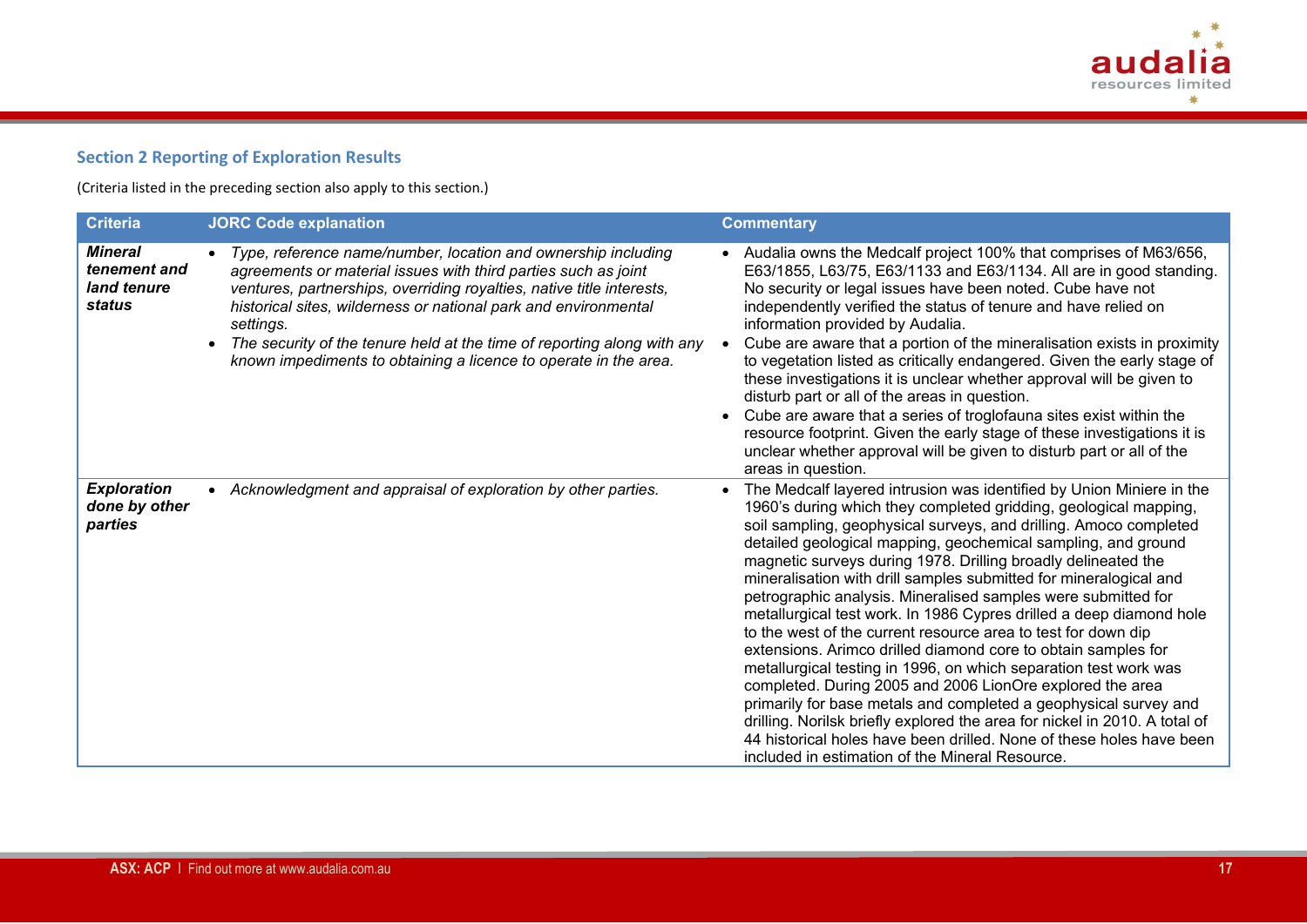

# **Section 2 Reporting of Exploration Results**

(Criteria listed in the preceding section also apply to this section.)

| <b>Criteria</b>                                                | <b>JORC Code explanation</b>                                                                                                                                                                                                                                                                                                                                                                                                            | <b>Commentary</b>                                                                                                                                                                                                                                                                                                                                                                                                                                                                                                                                                                                                                                                                                                                                                                                                                                                                                                                                                                                                                                                                                            |
|----------------------------------------------------------------|-----------------------------------------------------------------------------------------------------------------------------------------------------------------------------------------------------------------------------------------------------------------------------------------------------------------------------------------------------------------------------------------------------------------------------------------|--------------------------------------------------------------------------------------------------------------------------------------------------------------------------------------------------------------------------------------------------------------------------------------------------------------------------------------------------------------------------------------------------------------------------------------------------------------------------------------------------------------------------------------------------------------------------------------------------------------------------------------------------------------------------------------------------------------------------------------------------------------------------------------------------------------------------------------------------------------------------------------------------------------------------------------------------------------------------------------------------------------------------------------------------------------------------------------------------------------|
| <b>Mineral</b><br>tenement and<br>land tenure<br><b>status</b> | Type, reference name/number, location and ownership including<br>agreements or material issues with third parties such as joint<br>ventures, partnerships, overriding royalties, native title interests,<br>historical sites, wilderness or national park and environmental<br>settings.<br>The security of the tenure held at the time of reporting along with any<br>known impediments to obtaining a licence to operate in the area. | • Audalia owns the Medcalf project 100% that comprises of M63/656,<br>E63/1855, L63/75, E63/1133 and E63/1134. All are in good standing.<br>No security or legal issues have been noted. Cube have not<br>independently verified the status of tenure and have relied on<br>information provided by Audalia.<br>Cube are aware that a portion of the mineralisation exists in proximity<br>to vegetation listed as critically endangered. Given the early stage of<br>these investigations it is unclear whether approval will be given to<br>disturb part or all of the areas in question.<br>Cube are aware that a series of troglofauna sites exist within the<br>resource footprint. Given the early stage of these investigations it is<br>unclear whether approval will be given to disturb part or all of the<br>areas in question.                                                                                                                                                                                                                                                                   |
| <b>Exploration</b><br>done by other<br>parties                 | • Acknowledgment and appraisal of exploration by other parties.                                                                                                                                                                                                                                                                                                                                                                         | The Medcalf layered intrusion was identified by Union Miniere in the<br>1960's during which they completed gridding, geological mapping,<br>soil sampling, geophysical surveys, and drilling. Amoco completed<br>detailed geological mapping, geochemical sampling, and ground<br>magnetic surveys during 1978. Drilling broadly delineated the<br>mineralisation with drill samples submitted for mineralogical and<br>petrographic analysis. Mineralised samples were submitted for<br>metallurgical test work. In 1986 Cypres drilled a deep diamond hole<br>to the west of the current resource area to test for down dip<br>extensions. Arimco drilled diamond core to obtain samples for<br>metallurgical testing in 1996, on which separation test work was<br>completed. During 2005 and 2006 LionOre explored the area<br>primarily for base metals and completed a geophysical survey and<br>drilling. Norilsk briefly explored the area for nickel in 2010. A total of<br>44 historical holes have been drilled. None of these holes have been<br>included in estimation of the Mineral Resource. |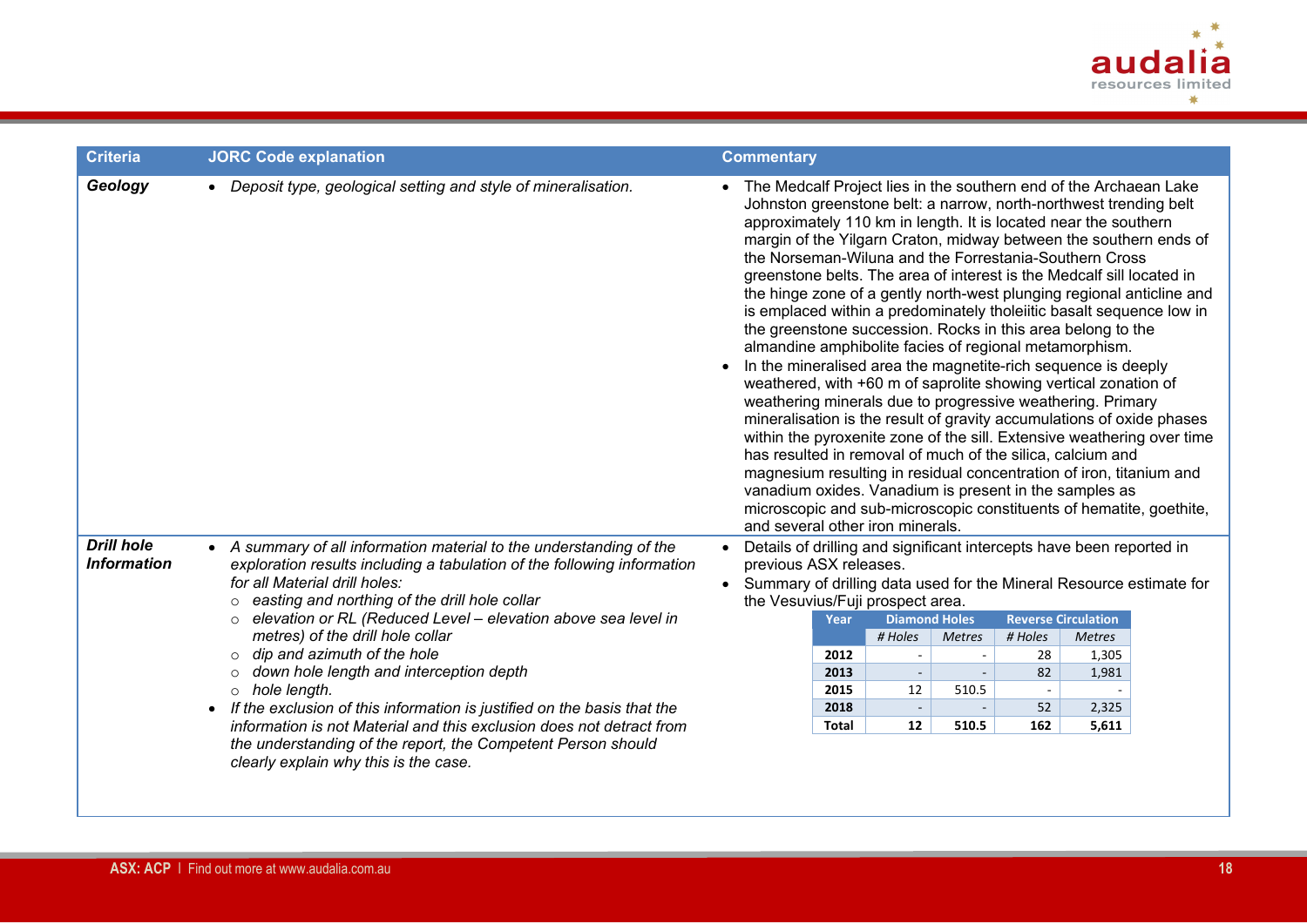

| <b>Criteria</b>                         | <b>JORC Code explanation</b>                                                                                                                                                                                                                                                                                                                                                                                                                                                                                                                                                                                                                                                                                                 | <b>Commentary</b>                                                                                                                                                                                                                                                                                                                                                                                                                                                                                                                                                                                                                                                                                                                                                                                                                                                                                                                                                                                                                                                                                                                                                                                                                                                                                                                                            |
|-----------------------------------------|------------------------------------------------------------------------------------------------------------------------------------------------------------------------------------------------------------------------------------------------------------------------------------------------------------------------------------------------------------------------------------------------------------------------------------------------------------------------------------------------------------------------------------------------------------------------------------------------------------------------------------------------------------------------------------------------------------------------------|--------------------------------------------------------------------------------------------------------------------------------------------------------------------------------------------------------------------------------------------------------------------------------------------------------------------------------------------------------------------------------------------------------------------------------------------------------------------------------------------------------------------------------------------------------------------------------------------------------------------------------------------------------------------------------------------------------------------------------------------------------------------------------------------------------------------------------------------------------------------------------------------------------------------------------------------------------------------------------------------------------------------------------------------------------------------------------------------------------------------------------------------------------------------------------------------------------------------------------------------------------------------------------------------------------------------------------------------------------------|
| Geology                                 | • Deposit type, geological setting and style of mineralisation.                                                                                                                                                                                                                                                                                                                                                                                                                                                                                                                                                                                                                                                              | • The Medcalf Project lies in the southern end of the Archaean Lake<br>Johnston greenstone belt: a narrow, north-northwest trending belt<br>approximately 110 km in length. It is located near the southern<br>margin of the Yilgarn Craton, midway between the southern ends of<br>the Norseman-Wiluna and the Forrestania-Southern Cross<br>greenstone belts. The area of interest is the Medcalf sill located in<br>the hinge zone of a gently north-west plunging regional anticline and<br>is emplaced within a predominately tholeiitic basalt sequence low in<br>the greenstone succession. Rocks in this area belong to the<br>almandine amphibolite facies of regional metamorphism.<br>In the mineralised area the magnetite-rich sequence is deeply<br>weathered, with +60 m of saprolite showing vertical zonation of<br>weathering minerals due to progressive weathering. Primary<br>mineralisation is the result of gravity accumulations of oxide phases<br>within the pyroxenite zone of the sill. Extensive weathering over time<br>has resulted in removal of much of the silica, calcium and<br>magnesium resulting in residual concentration of iron, titanium and<br>vanadium oxides. Vanadium is present in the samples as<br>microscopic and sub-microscopic constituents of hematite, goethite,<br>and several other iron minerals. |
| <b>Drill hole</b><br><b>Information</b> | • A summary of all information material to the understanding of the<br>exploration results including a tabulation of the following information<br>for all Material drill holes:<br>o easting and northing of the drill hole collar<br>elevation or RL (Reduced Level - elevation above sea level in<br>$\circ$<br>metres) of the drill hole collar<br>$\circ$ dip and azimuth of the hole<br>o down hole length and interception depth<br>$\circ$ hole length.<br>• If the exclusion of this information is justified on the basis that the<br>information is not Material and this exclusion does not detract from<br>the understanding of the report, the Competent Person should<br>clearly explain why this is the case. | Details of drilling and significant intercepts have been reported in<br>$\bullet$<br>previous ASX releases.<br>• Summary of drilling data used for the Mineral Resource estimate for<br>the Vesuvius/Fuji prospect area.<br><b>Diamond Holes</b><br><b>Reverse Circulation</b><br>Year<br># Holes<br># Holes<br><b>Metres</b><br><b>Metres</b><br>2012<br>28<br>1,305<br>82<br>$\overline{\phantom{a}}$<br>1,981<br>2013<br>12<br>2015<br>510.5<br>$\sim$<br>52<br>2018<br>2,325<br>$\sim$<br>$\overline{\phantom{a}}$<br>12<br>510.5<br>162<br>5,611<br>Total                                                                                                                                                                                                                                                                                                                                                                                                                                                                                                                                                                                                                                                                                                                                                                                               |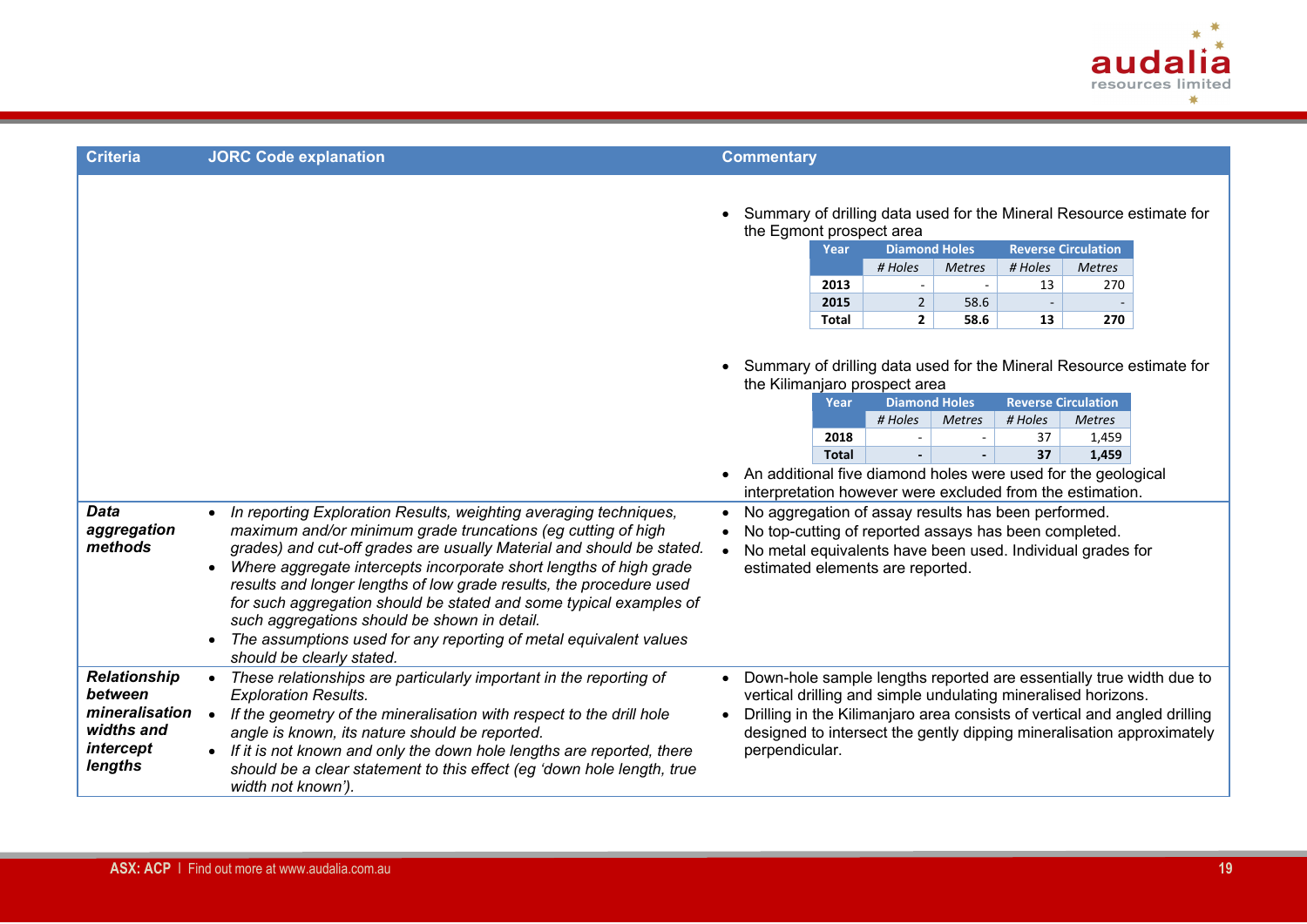

| <b>Criteria</b>                                                                        | <b>JORC Code explanation</b>                                                                                                                                                                                                                                                                                                                                                                           | <b>Commentary</b>                                                                                                                                                                                                                                                                                                                                                                                                                                                                                                                                                                                                                                |
|----------------------------------------------------------------------------------------|--------------------------------------------------------------------------------------------------------------------------------------------------------------------------------------------------------------------------------------------------------------------------------------------------------------------------------------------------------------------------------------------------------|--------------------------------------------------------------------------------------------------------------------------------------------------------------------------------------------------------------------------------------------------------------------------------------------------------------------------------------------------------------------------------------------------------------------------------------------------------------------------------------------------------------------------------------------------------------------------------------------------------------------------------------------------|
|                                                                                        |                                                                                                                                                                                                                                                                                                                                                                                                        | Summary of drilling data used for the Mineral Resource estimate for<br>the Egmont prospect area<br><b>Reverse Circulation</b><br><b>Diamond Holes</b><br>Year<br># Holes<br># Holes<br><b>Metres</b><br><b>Metres</b><br>2013<br>13<br>270<br>$\overline{\phantom{a}}$<br>2015<br>$\overline{2}$<br>58.6<br>$\overline{\phantom{a}}$<br><b>Total</b><br>$\mathbf{2}$<br>58.6<br>13<br>270                                                                                                                                                                                                                                                        |
| <b>Data</b><br>aggregation<br>methods                                                  | In reporting Exploration Results, weighting averaging techniques,<br>$\bullet$<br>maximum and/or minimum grade truncations (eg cutting of high<br>grades) and cut-off grades are usually Material and should be stated.                                                                                                                                                                                | Summary of drilling data used for the Mineral Resource estimate for<br>the Kilimanjaro prospect area<br><b>Diamond Holes</b><br><b>Reverse Circulation</b><br>Year<br># Holes<br># Holes<br><b>Metres</b><br><b>Metres</b><br>2018<br>37<br>1,459<br>37<br>1,459<br><b>Total</b><br>An additional five diamond holes were used for the geological<br>$\bullet$<br>interpretation however were excluded from the estimation.<br>No aggregation of assay results has been performed.<br>$\bullet$<br>No top-cutting of reported assays has been completed.<br>$\bullet$<br>No metal equivalents have been used. Individual grades for<br>$\bullet$ |
|                                                                                        | Where aggregate intercepts incorporate short lengths of high grade<br>$\bullet$<br>results and longer lengths of low grade results, the procedure used<br>for such aggregation should be stated and some typical examples of<br>such aggregations should be shown in detail.<br>The assumptions used for any reporting of metal equivalent values<br>$\bullet$<br>should be clearly stated.            | estimated elements are reported.                                                                                                                                                                                                                                                                                                                                                                                                                                                                                                                                                                                                                 |
| <b>Relationship</b><br>between<br>mineralisation<br>widths and<br>intercept<br>lengths | These relationships are particularly important in the reporting of<br><b>Exploration Results.</b><br>If the geometry of the mineralisation with respect to the drill hole<br>angle is known, its nature should be reported.<br>• If it is not known and only the down hole lengths are reported, there<br>should be a clear statement to this effect (eg 'down hole length, true<br>width not known'). | Down-hole sample lengths reported are essentially true width due to<br>$\bullet$<br>vertical drilling and simple undulating mineralised horizons.<br>Drilling in the Kilimanjaro area consists of vertical and angled drilling<br>$\bullet$<br>designed to intersect the gently dipping mineralisation approximately<br>perpendicular.                                                                                                                                                                                                                                                                                                           |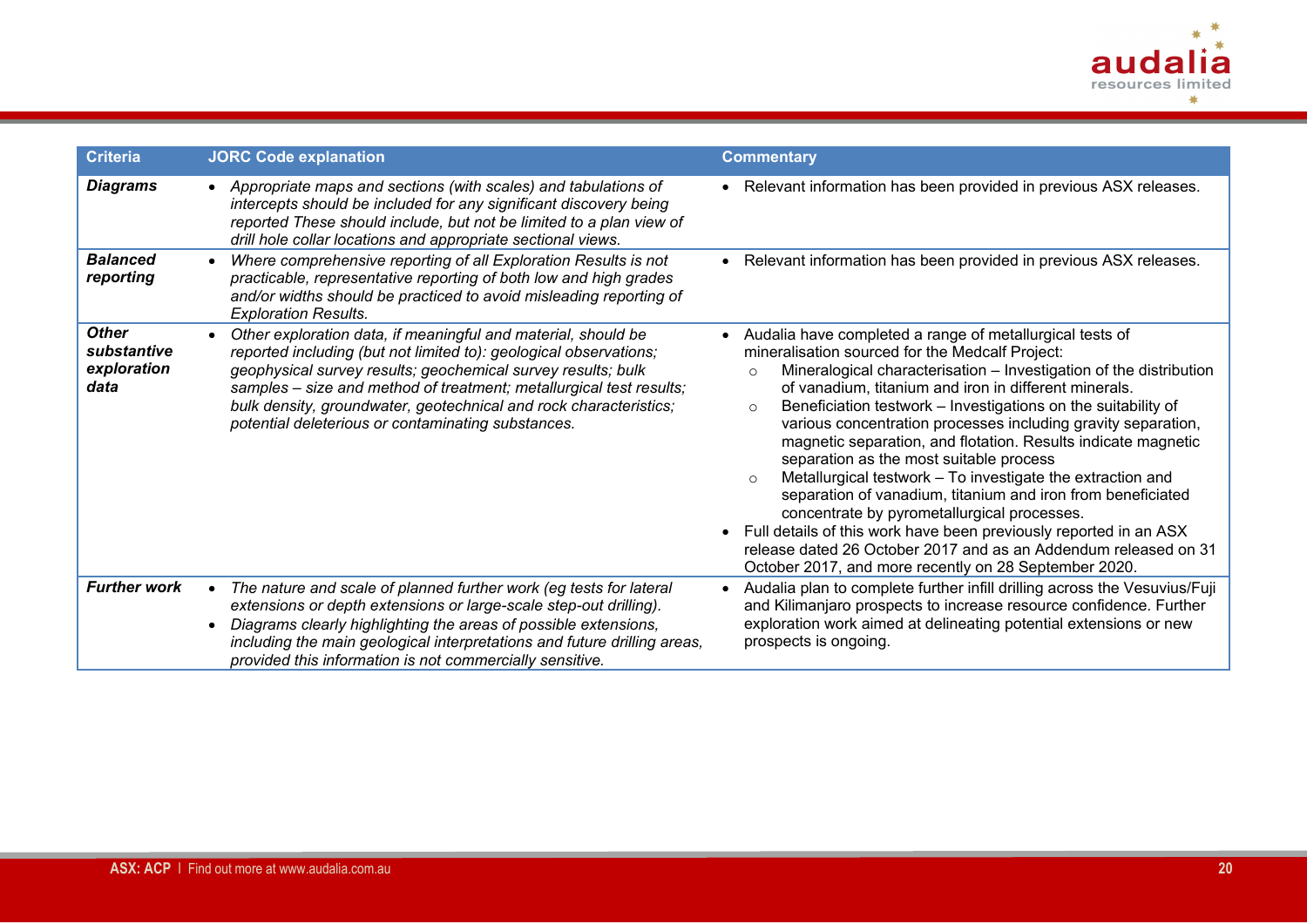

| <b>Criteria</b>                                    | <b>JORC Code explanation</b>                                                                                                                                                                                                                                                                                                                                                                         | <b>Commentary</b>                                                                                                                                                                                                                                                                                                                                                                                                                                                                                                                                                                                                                                                                                                                                                                                                                                                                               |
|----------------------------------------------------|------------------------------------------------------------------------------------------------------------------------------------------------------------------------------------------------------------------------------------------------------------------------------------------------------------------------------------------------------------------------------------------------------|-------------------------------------------------------------------------------------------------------------------------------------------------------------------------------------------------------------------------------------------------------------------------------------------------------------------------------------------------------------------------------------------------------------------------------------------------------------------------------------------------------------------------------------------------------------------------------------------------------------------------------------------------------------------------------------------------------------------------------------------------------------------------------------------------------------------------------------------------------------------------------------------------|
| <b>Diagrams</b>                                    | • Appropriate maps and sections (with scales) and tabulations of<br>intercepts should be included for any significant discovery being<br>reported These should include, but not be limited to a plan view of<br>drill hole collar locations and appropriate sectional views.                                                                                                                         | • Relevant information has been provided in previous ASX releases.                                                                                                                                                                                                                                                                                                                                                                                                                                                                                                                                                                                                                                                                                                                                                                                                                              |
| <b>Balanced</b><br>reporting                       | Where comprehensive reporting of all Exploration Results is not<br>practicable, representative reporting of both low and high grades<br>and/or widths should be practiced to avoid misleading reporting of<br><b>Exploration Results.</b>                                                                                                                                                            | • Relevant information has been provided in previous ASX releases.                                                                                                                                                                                                                                                                                                                                                                                                                                                                                                                                                                                                                                                                                                                                                                                                                              |
| <b>Other</b><br>substantive<br>exploration<br>data | Other exploration data, if meaningful and material, should be<br>reported including (but not limited to): geological observations;<br>geophysical survey results; geochemical survey results; bulk<br>samples - size and method of treatment; metallurgical test results;<br>bulk density, groundwater, geotechnical and rock characteristics;<br>potential deleterious or contaminating substances. | • Audalia have completed a range of metallurgical tests of<br>mineralisation sourced for the Medcalf Project:<br>Mineralogical characterisation - Investigation of the distribution<br>of vanadium, titanium and iron in different minerals.<br>Beneficiation testwork - Investigations on the suitability of<br>$\circ$<br>various concentration processes including gravity separation,<br>magnetic separation, and flotation. Results indicate magnetic<br>separation as the most suitable process<br>Metallurgical testwork - To investigate the extraction and<br>$\circ$<br>separation of vanadium, titanium and iron from beneficiated<br>concentrate by pyrometallurgical processes.<br>• Full details of this work have been previously reported in an ASX<br>release dated 26 October 2017 and as an Addendum released on 31<br>October 2017, and more recently on 28 September 2020. |
| <b>Further work</b>                                | The nature and scale of planned further work (eg tests for lateral<br>extensions or depth extensions or large-scale step-out drilling).<br>Diagrams clearly highlighting the areas of possible extensions,<br>including the main geological interpretations and future drilling areas,<br>provided this information is not commercially sensitive.                                                   | • Audalia plan to complete further infill drilling across the Vesuvius/Fuji<br>and Kilimanjaro prospects to increase resource confidence. Further<br>exploration work aimed at delineating potential extensions or new<br>prospects is ongoing.                                                                                                                                                                                                                                                                                                                                                                                                                                                                                                                                                                                                                                                 |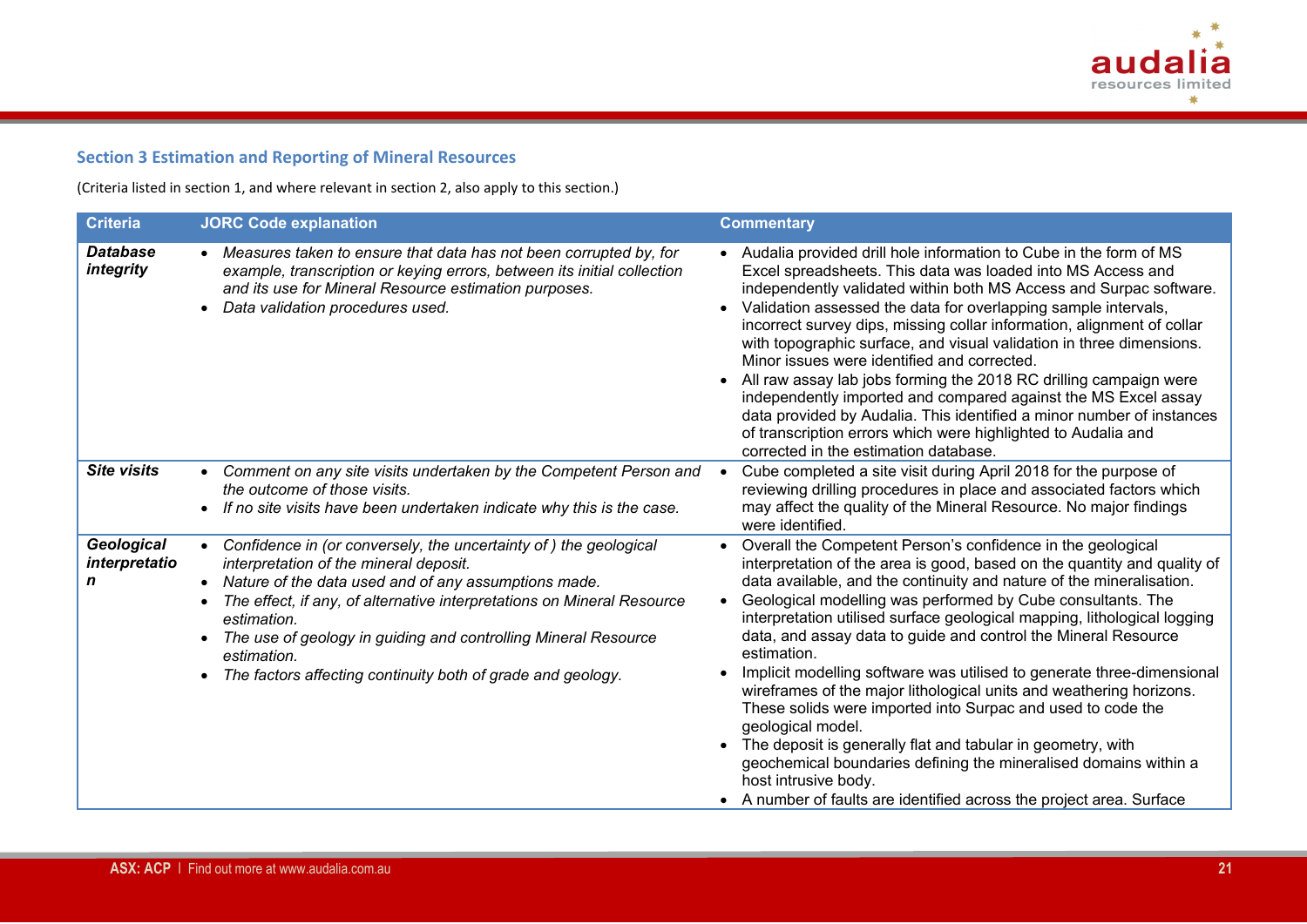

# **Section 3 Estimation and Reporting of Mineral Resources**

(Criteria listed in section 1, and where relevant in section 2, also apply to this section.)

| <b>Criteria</b>                  | <b>JORC Code explanation</b>                                                                                                                                                                                                                                                                                                                                                                                                                                    | <b>Commentary</b>                                                                                                                                                                                                                                                                                                                                                                                                                                                                                                                                                                                                                                                                                                                                                                                                                                                                                                                             |
|----------------------------------|-----------------------------------------------------------------------------------------------------------------------------------------------------------------------------------------------------------------------------------------------------------------------------------------------------------------------------------------------------------------------------------------------------------------------------------------------------------------|-----------------------------------------------------------------------------------------------------------------------------------------------------------------------------------------------------------------------------------------------------------------------------------------------------------------------------------------------------------------------------------------------------------------------------------------------------------------------------------------------------------------------------------------------------------------------------------------------------------------------------------------------------------------------------------------------------------------------------------------------------------------------------------------------------------------------------------------------------------------------------------------------------------------------------------------------|
| <b>Database</b><br>integrity     | • Measures taken to ensure that data has not been corrupted by, for<br>example, transcription or keying errors, between its initial collection<br>and its use for Mineral Resource estimation purposes.<br>Data validation procedures used.                                                                                                                                                                                                                     | • Audalia provided drill hole information to Cube in the form of MS<br>Excel spreadsheets. This data was loaded into MS Access and<br>independently validated within both MS Access and Surpac software.<br>Validation assessed the data for overlapping sample intervals,<br>incorrect survey dips, missing collar information, alignment of collar<br>with topographic surface, and visual validation in three dimensions.<br>Minor issues were identified and corrected.<br>All raw assay lab jobs forming the 2018 RC drilling campaign were<br>independently imported and compared against the MS Excel assay<br>data provided by Audalia. This identified a minor number of instances<br>of transcription errors which were highlighted to Audalia and<br>corrected in the estimation database.                                                                                                                                         |
| <b>Site visits</b>               | Comment on any site visits undertaken by the Competent Person and<br>$\bullet$<br>the outcome of those visits.<br>If no site visits have been undertaken indicate why this is the case.                                                                                                                                                                                                                                                                         | Cube completed a site visit during April 2018 for the purpose of<br>reviewing drilling procedures in place and associated factors which<br>may affect the quality of the Mineral Resource. No major findings<br>were identified.                                                                                                                                                                                                                                                                                                                                                                                                                                                                                                                                                                                                                                                                                                              |
| Geological<br>interpretatio<br>n | Confidence in (or conversely, the uncertainty of) the geological<br>$\bullet$<br>interpretation of the mineral deposit.<br>Nature of the data used and of any assumptions made.<br>$\bullet$<br>The effect, if any, of alternative interpretations on Mineral Resource<br>$\bullet$<br>estimation.<br>The use of geology in guiding and controlling Mineral Resource<br>$\bullet$<br>estimation.<br>The factors affecting continuity both of grade and geology. | Overall the Competent Person's confidence in the geological<br>$\bullet$<br>interpretation of the area is good, based on the quantity and quality of<br>data available, and the continuity and nature of the mineralisation.<br>Geological modelling was performed by Cube consultants. The<br>$\bullet$<br>interpretation utilised surface geological mapping, lithological logging<br>data, and assay data to guide and control the Mineral Resource<br>estimation.<br>Implicit modelling software was utilised to generate three-dimensional<br>wireframes of the major lithological units and weathering horizons.<br>These solids were imported into Surpac and used to code the<br>geological model.<br>The deposit is generally flat and tabular in geometry, with<br>geochemical boundaries defining the mineralised domains within a<br>host intrusive body.<br>• A number of faults are identified across the project area. Surface |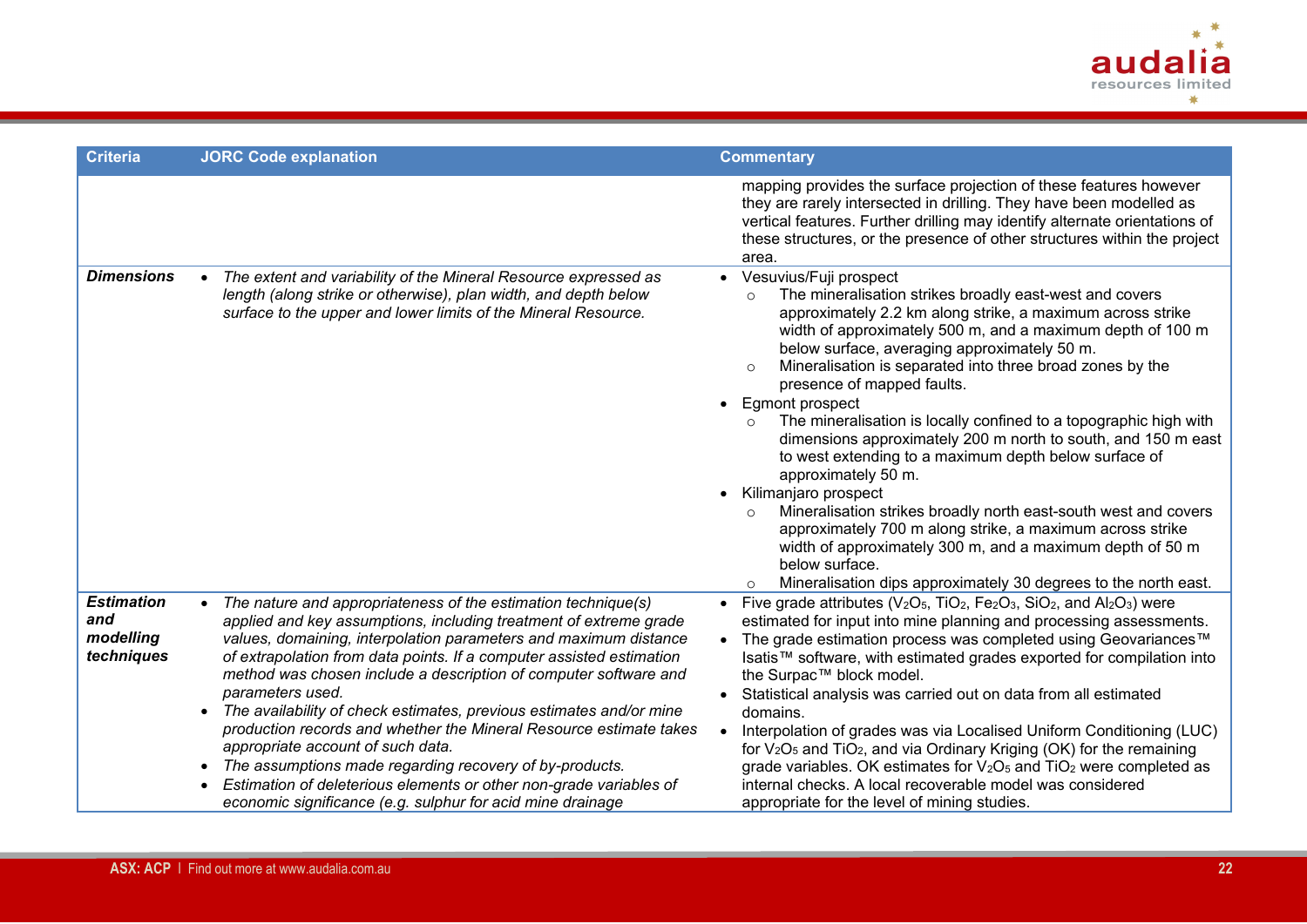

| <b>Criteria</b>                                     | <b>JORC Code explanation</b>                                                                                                                                                                                                                                                                                                                                                                                                                                                                                                                                                                                                                                                                                                                                         | <b>Commentary</b>                                                                                                                                                                                                                                                                                                                                                                                                                                                                                                                                                                                                                                                                                                                                                                                                                                                                                                                                                      |
|-----------------------------------------------------|----------------------------------------------------------------------------------------------------------------------------------------------------------------------------------------------------------------------------------------------------------------------------------------------------------------------------------------------------------------------------------------------------------------------------------------------------------------------------------------------------------------------------------------------------------------------------------------------------------------------------------------------------------------------------------------------------------------------------------------------------------------------|------------------------------------------------------------------------------------------------------------------------------------------------------------------------------------------------------------------------------------------------------------------------------------------------------------------------------------------------------------------------------------------------------------------------------------------------------------------------------------------------------------------------------------------------------------------------------------------------------------------------------------------------------------------------------------------------------------------------------------------------------------------------------------------------------------------------------------------------------------------------------------------------------------------------------------------------------------------------|
|                                                     |                                                                                                                                                                                                                                                                                                                                                                                                                                                                                                                                                                                                                                                                                                                                                                      | mapping provides the surface projection of these features however<br>they are rarely intersected in drilling. They have been modelled as<br>vertical features. Further drilling may identify alternate orientations of<br>these structures, or the presence of other structures within the project<br>area.                                                                                                                                                                                                                                                                                                                                                                                                                                                                                                                                                                                                                                                            |
| <b>Dimensions</b>                                   | The extent and variability of the Mineral Resource expressed as<br>length (along strike or otherwise), plan width, and depth below<br>surface to the upper and lower limits of the Mineral Resource.                                                                                                                                                                                                                                                                                                                                                                                                                                                                                                                                                                 | • Vesuvius/Fuji prospect<br>The mineralisation strikes broadly east-west and covers<br>$\circ$<br>approximately 2.2 km along strike, a maximum across strike<br>width of approximately 500 m, and a maximum depth of 100 m<br>below surface, averaging approximately 50 m.<br>Mineralisation is separated into three broad zones by the<br>$\circ$<br>presence of mapped faults.<br>• Egmont prospect<br>The mineralisation is locally confined to a topographic high with<br>$\circ$<br>dimensions approximately 200 m north to south, and 150 m east<br>to west extending to a maximum depth below surface of<br>approximately 50 m.<br>Kilimanjaro prospect<br>Mineralisation strikes broadly north east-south west and covers<br>$\circ$<br>approximately 700 m along strike, a maximum across strike<br>width of approximately 300 m, and a maximum depth of 50 m<br>below surface.<br>Mineralisation dips approximately 30 degrees to the north east.<br>$\circ$ |
| <b>Estimation</b><br>and<br>modelling<br>techniques | The nature and appropriateness of the estimation technique(s)<br>applied and key assumptions, including treatment of extreme grade<br>values, domaining, interpolation parameters and maximum distance<br>of extrapolation from data points. If a computer assisted estimation<br>method was chosen include a description of computer software and<br>parameters used.<br>The availability of check estimates, previous estimates and/or mine<br>$\bullet$<br>production records and whether the Mineral Resource estimate takes<br>appropriate account of such data.<br>The assumptions made regarding recovery of by-products.<br>Estimation of deleterious elements or other non-grade variables of<br>economic significance (e.g. sulphur for acid mine drainage | Five grade attributes ( $V_2O_5$ , TiO <sub>2</sub> , Fe <sub>2</sub> O <sub>3</sub> , SiO <sub>2</sub> , and Al <sub>2</sub> O <sub>3</sub> ) were<br>estimated for input into mine planning and processing assessments.<br>The grade estimation process was completed using Geovariances™<br>Isatis™ software, with estimated grades exported for compilation into<br>the Surpac™ block model.<br>Statistical analysis was carried out on data from all estimated<br>domains.<br>Interpolation of grades was via Localised Uniform Conditioning (LUC)<br>for $V_2O_5$ and $TiO_2$ , and via Ordinary Kriging (OK) for the remaining<br>grade variables. OK estimates for $V_2O_5$ and $TiO_2$ were completed as<br>internal checks. A local recoverable model was considered<br>appropriate for the level of mining studies.                                                                                                                                         |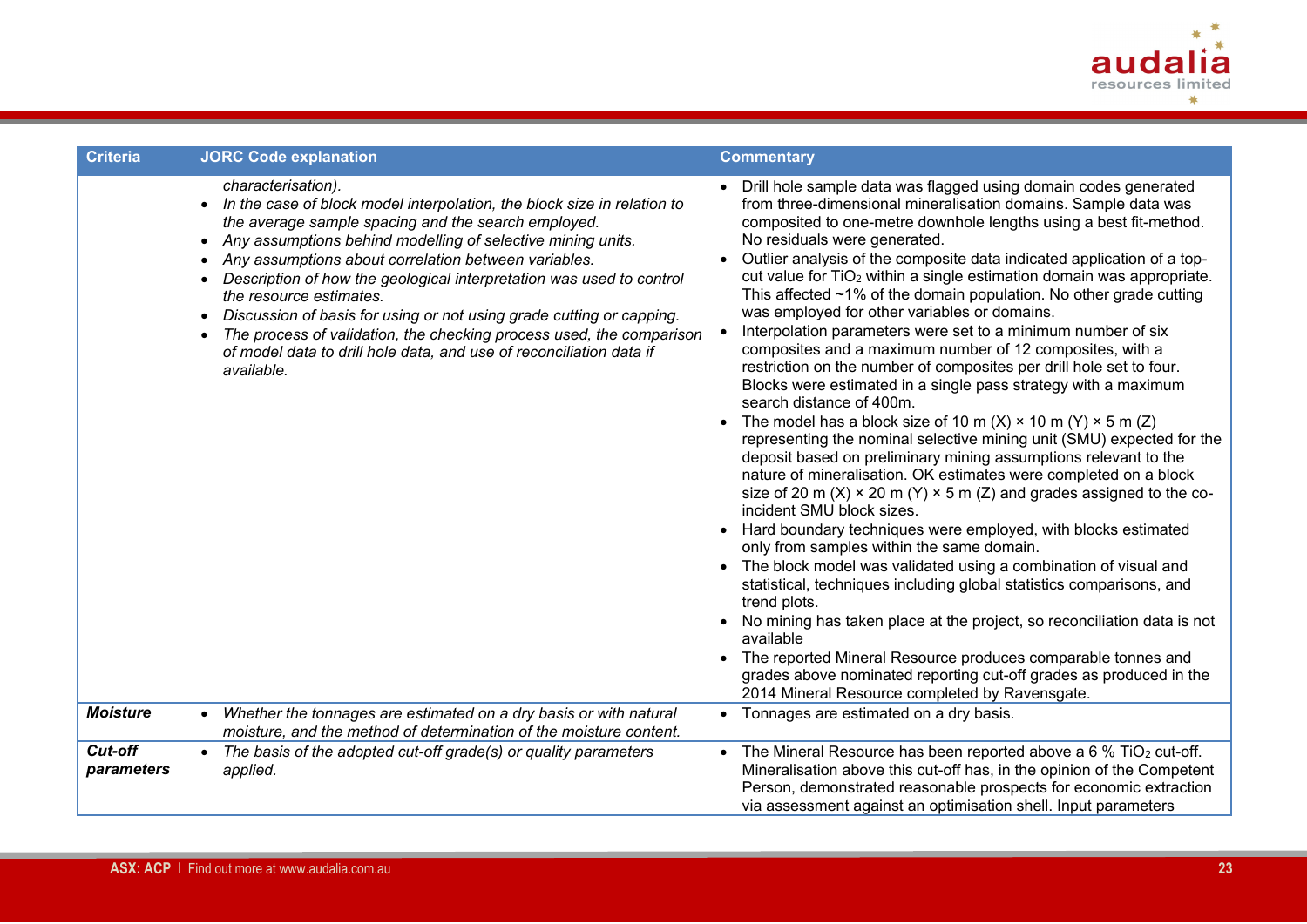

| <b>Criteria</b>       | <b>JORC Code explanation</b>                                                                                                                                                                                                                                                                                                                                                                                                                                                                                                                                                                                                       | <b>Commentary</b>                                                                                                                                                                                                                                                                                                                                                                                                                                                                                                                                                                                                                                                                                                                                                                                                                                                                                                                                                                                                                                                                                                                                                                                                                                                                                                                                                                                                                                                                                                                                                                                                                                                                                                                                                                                             |
|-----------------------|------------------------------------------------------------------------------------------------------------------------------------------------------------------------------------------------------------------------------------------------------------------------------------------------------------------------------------------------------------------------------------------------------------------------------------------------------------------------------------------------------------------------------------------------------------------------------------------------------------------------------------|---------------------------------------------------------------------------------------------------------------------------------------------------------------------------------------------------------------------------------------------------------------------------------------------------------------------------------------------------------------------------------------------------------------------------------------------------------------------------------------------------------------------------------------------------------------------------------------------------------------------------------------------------------------------------------------------------------------------------------------------------------------------------------------------------------------------------------------------------------------------------------------------------------------------------------------------------------------------------------------------------------------------------------------------------------------------------------------------------------------------------------------------------------------------------------------------------------------------------------------------------------------------------------------------------------------------------------------------------------------------------------------------------------------------------------------------------------------------------------------------------------------------------------------------------------------------------------------------------------------------------------------------------------------------------------------------------------------------------------------------------------------------------------------------------------------|
|                       | characterisation).<br>• In the case of block model interpolation, the block size in relation to<br>the average sample spacing and the search employed.<br>Any assumptions behind modelling of selective mining units.<br>$\bullet$<br>Any assumptions about correlation between variables.<br>Description of how the geological interpretation was used to control<br>the resource estimates.<br>Discussion of basis for using or not using grade cutting or capping.<br>The process of validation, the checking process used, the comparison<br>of model data to drill hole data, and use of reconciliation data if<br>available. | Drill hole sample data was flagged using domain codes generated<br>from three-dimensional mineralisation domains. Sample data was<br>composited to one-metre downhole lengths using a best fit-method.<br>No residuals were generated.<br>Outlier analysis of the composite data indicated application of a top-<br>cut value for TiO <sub>2</sub> within a single estimation domain was appropriate.<br>This affected $\sim$ 1% of the domain population. No other grade cutting<br>was employed for other variables or domains.<br>Interpolation parameters were set to a minimum number of six<br>composites and a maximum number of 12 composites, with a<br>restriction on the number of composites per drill hole set to four.<br>Blocks were estimated in a single pass strategy with a maximum<br>search distance of 400m.<br>The model has a block size of 10 m (X) $\times$ 10 m (Y) $\times$ 5 m (Z)<br>representing the nominal selective mining unit (SMU) expected for the<br>deposit based on preliminary mining assumptions relevant to the<br>nature of mineralisation. OK estimates were completed on a block<br>size of 20 m (X) $\times$ 20 m (Y) $\times$ 5 m (Z) and grades assigned to the co-<br>incident SMU block sizes.<br>Hard boundary techniques were employed, with blocks estimated<br>only from samples within the same domain.<br>The block model was validated using a combination of visual and<br>statistical, techniques including global statistics comparisons, and<br>trend plots.<br>No mining has taken place at the project, so reconciliation data is not<br>available<br>• The reported Mineral Resource produces comparable tonnes and<br>grades above nominated reporting cut-off grades as produced in the<br>2014 Mineral Resource completed by Ravensgate. |
| <b>Moisture</b>       | Whether the tonnages are estimated on a dry basis or with natural<br>$\bullet$<br>moisture, and the method of determination of the moisture content.                                                                                                                                                                                                                                                                                                                                                                                                                                                                               | • Tonnages are estimated on a dry basis.                                                                                                                                                                                                                                                                                                                                                                                                                                                                                                                                                                                                                                                                                                                                                                                                                                                                                                                                                                                                                                                                                                                                                                                                                                                                                                                                                                                                                                                                                                                                                                                                                                                                                                                                                                      |
| Cut-off<br>parameters | The basis of the adopted cut-off grade(s) or quality parameters<br>$\bullet$<br>applied.                                                                                                                                                                                                                                                                                                                                                                                                                                                                                                                                           | • The Mineral Resource has been reported above a 6 % TiO <sub>2</sub> cut-off.<br>Mineralisation above this cut-off has, in the opinion of the Competent<br>Person, demonstrated reasonable prospects for economic extraction<br>via assessment against an optimisation shell. Input parameters                                                                                                                                                                                                                                                                                                                                                                                                                                                                                                                                                                                                                                                                                                                                                                                                                                                                                                                                                                                                                                                                                                                                                                                                                                                                                                                                                                                                                                                                                                               |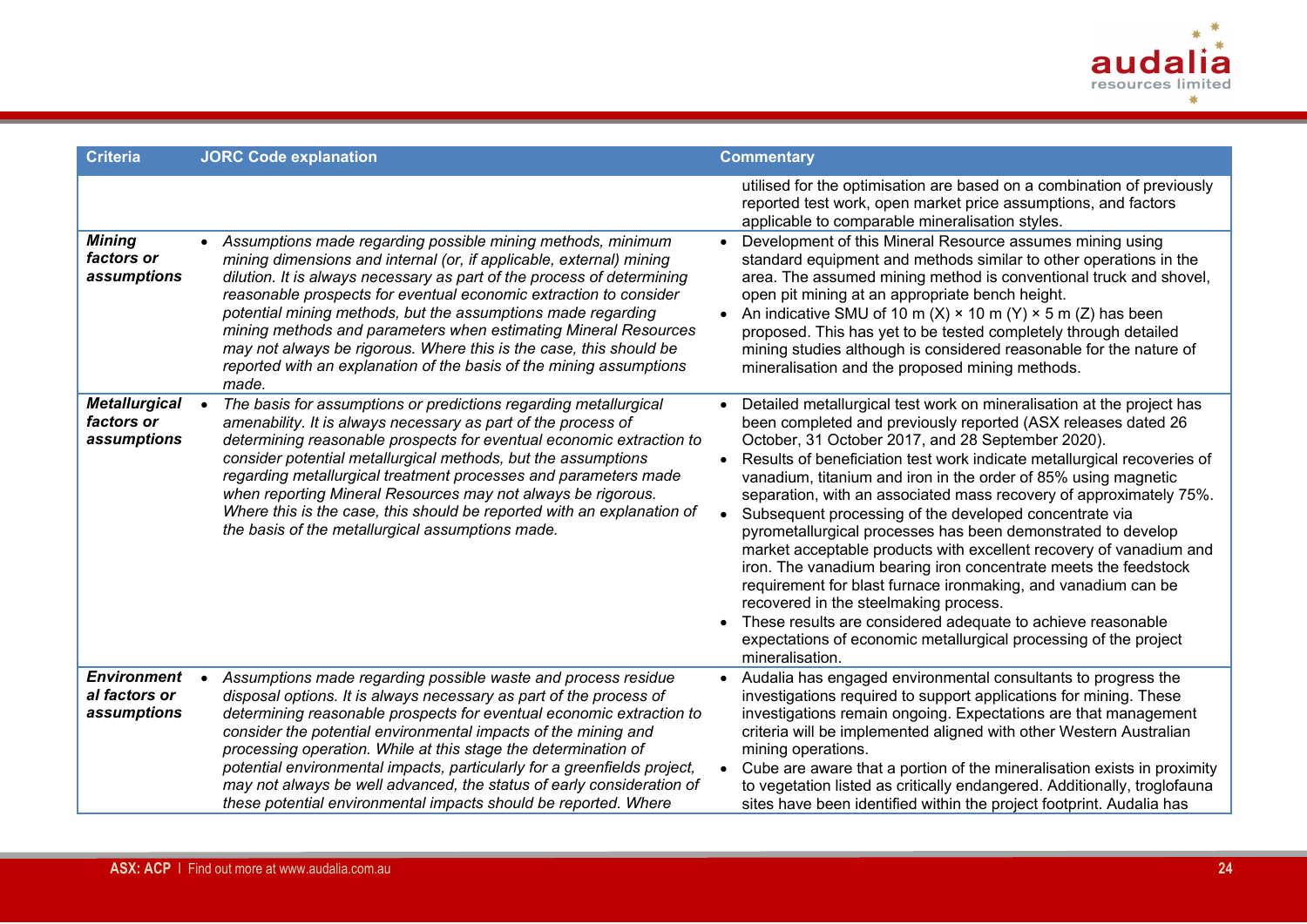

| <b>Criteria</b>                                    | <b>JORC Code explanation</b>                                                                                                                                                                                                                                                                                                                                                                                                                                                                                                                                                 | <b>Commentary</b>                                                                                                                                                                                                                                                                                                                                                                                                                                                                                                                                                                                                                                                                                                                                                                                                                                                                                                                                 |
|----------------------------------------------------|------------------------------------------------------------------------------------------------------------------------------------------------------------------------------------------------------------------------------------------------------------------------------------------------------------------------------------------------------------------------------------------------------------------------------------------------------------------------------------------------------------------------------------------------------------------------------|---------------------------------------------------------------------------------------------------------------------------------------------------------------------------------------------------------------------------------------------------------------------------------------------------------------------------------------------------------------------------------------------------------------------------------------------------------------------------------------------------------------------------------------------------------------------------------------------------------------------------------------------------------------------------------------------------------------------------------------------------------------------------------------------------------------------------------------------------------------------------------------------------------------------------------------------------|
|                                                    |                                                                                                                                                                                                                                                                                                                                                                                                                                                                                                                                                                              | utilised for the optimisation are based on a combination of previously<br>reported test work, open market price assumptions, and factors<br>applicable to comparable mineralisation styles.                                                                                                                                                                                                                                                                                                                                                                                                                                                                                                                                                                                                                                                                                                                                                       |
| <b>Mining</b><br>factors or<br>assumptions         | • Assumptions made regarding possible mining methods, minimum<br>mining dimensions and internal (or, if applicable, external) mining<br>dilution. It is always necessary as part of the process of determining<br>reasonable prospects for eventual economic extraction to consider<br>potential mining methods, but the assumptions made regarding<br>mining methods and parameters when estimating Mineral Resources<br>may not always be rigorous. Where this is the case, this should be<br>reported with an explanation of the basis of the mining assumptions<br>made. | Development of this Mineral Resource assumes mining using<br>standard equipment and methods similar to other operations in the<br>area. The assumed mining method is conventional truck and shovel,<br>open pit mining at an appropriate bench height.<br>An indicative SMU of 10 m (X) $\times$ 10 m (Y) $\times$ 5 m (Z) has been<br>proposed. This has yet to be tested completely through detailed<br>mining studies although is considered reasonable for the nature of<br>mineralisation and the proposed mining methods.                                                                                                                                                                                                                                                                                                                                                                                                                   |
| <b>Metallurgical</b><br>factors or<br>assumptions  | The basis for assumptions or predictions regarding metallurgical<br>$\bullet$<br>amenability. It is always necessary as part of the process of<br>determining reasonable prospects for eventual economic extraction to<br>consider potential metallurgical methods, but the assumptions<br>regarding metallurgical treatment processes and parameters made<br>when reporting Mineral Resources may not always be rigorous.<br>Where this is the case, this should be reported with an explanation of<br>the basis of the metallurgical assumptions made.                     | Detailed metallurgical test work on mineralisation at the project has<br>been completed and previously reported (ASX releases dated 26<br>October, 31 October 2017, and 28 September 2020).<br>Results of beneficiation test work indicate metallurgical recoveries of<br>vanadium, titanium and iron in the order of 85% using magnetic<br>separation, with an associated mass recovery of approximately 75%.<br>Subsequent processing of the developed concentrate via<br>pyrometallurgical processes has been demonstrated to develop<br>market acceptable products with excellent recovery of vanadium and<br>iron. The vanadium bearing iron concentrate meets the feedstock<br>requirement for blast furnace ironmaking, and vanadium can be<br>recovered in the steelmaking process.<br>These results are considered adequate to achieve reasonable<br>expectations of economic metallurgical processing of the project<br>mineralisation. |
| <b>Environment</b><br>al factors or<br>assumptions | Assumptions made regarding possible waste and process residue<br>disposal options. It is always necessary as part of the process of<br>determining reasonable prospects for eventual economic extraction to<br>consider the potential environmental impacts of the mining and<br>processing operation. While at this stage the determination of<br>potential environmental impacts, particularly for a greenfields project,<br>may not always be well advanced, the status of early consideration of<br>these potential environmental impacts should be reported. Where      | Audalia has engaged environmental consultants to progress the<br>investigations required to support applications for mining. These<br>investigations remain ongoing. Expectations are that management<br>criteria will be implemented aligned with other Western Australian<br>mining operations.<br>Cube are aware that a portion of the mineralisation exists in proximity<br>to vegetation listed as critically endangered. Additionally, troglofauna<br>sites have been identified within the project footprint. Audalia has                                                                                                                                                                                                                                                                                                                                                                                                                  |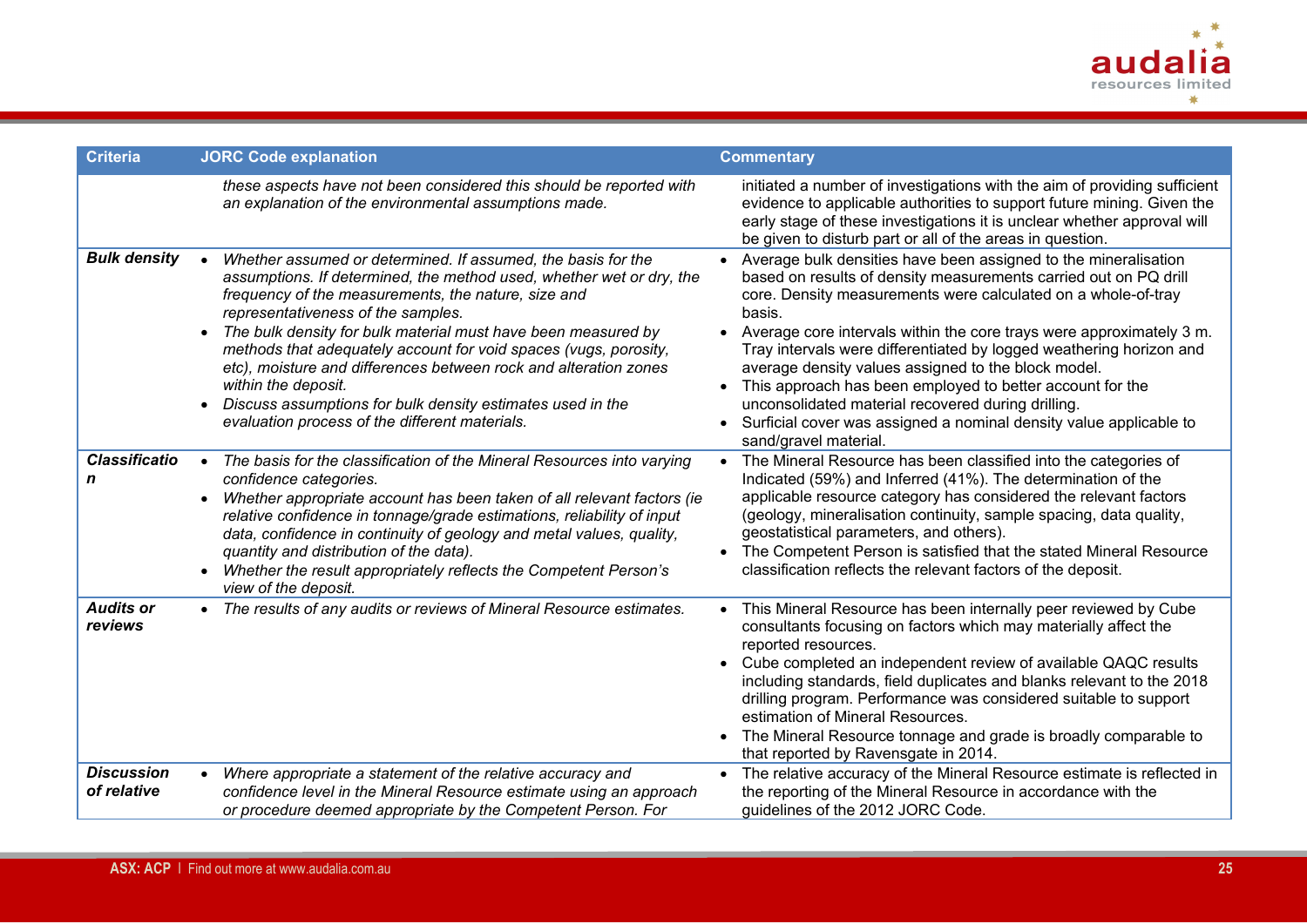

| <b>Criteria</b>                  | <b>JORC Code explanation</b>                                                                                                                                                                                                                                                                                                                                                                                                                                                                                                                                                                   | <b>Commentary</b>                                                                                                                                                                                                                                                                                                                                                                                                                                                                                                                                                                                                                            |
|----------------------------------|------------------------------------------------------------------------------------------------------------------------------------------------------------------------------------------------------------------------------------------------------------------------------------------------------------------------------------------------------------------------------------------------------------------------------------------------------------------------------------------------------------------------------------------------------------------------------------------------|----------------------------------------------------------------------------------------------------------------------------------------------------------------------------------------------------------------------------------------------------------------------------------------------------------------------------------------------------------------------------------------------------------------------------------------------------------------------------------------------------------------------------------------------------------------------------------------------------------------------------------------------|
|                                  | these aspects have not been considered this should be reported with<br>an explanation of the environmental assumptions made.                                                                                                                                                                                                                                                                                                                                                                                                                                                                   | initiated a number of investigations with the aim of providing sufficient<br>evidence to applicable authorities to support future mining. Given the<br>early stage of these investigations it is unclear whether approval will<br>be given to disturb part or all of the areas in question.                                                                                                                                                                                                                                                                                                                                                  |
| <b>Bulk density</b>              | Whether assumed or determined. If assumed, the basis for the<br>$\bullet$<br>assumptions. If determined, the method used, whether wet or dry, the<br>frequency of the measurements, the nature, size and<br>representativeness of the samples.<br>The bulk density for bulk material must have been measured by<br>methods that adequately account for void spaces (vugs, porosity,<br>etc), moisture and differences between rock and alteration zones<br>within the deposit.<br>Discuss assumptions for bulk density estimates used in the<br>evaluation process of the different materials. | • Average bulk densities have been assigned to the mineralisation<br>based on results of density measurements carried out on PQ drill<br>core. Density measurements were calculated on a whole-of-tray<br>basis.<br>• Average core intervals within the core trays were approximately 3 m.<br>Tray intervals were differentiated by logged weathering horizon and<br>average density values assigned to the block model.<br>This approach has been employed to better account for the<br>unconsolidated material recovered during drilling.<br>• Surficial cover was assigned a nominal density value applicable to<br>sand/gravel material. |
| <b>Classificatio</b><br>n        | The basis for the classification of the Mineral Resources into varying<br>$\bullet$<br>confidence categories.<br>Whether appropriate account has been taken of all relevant factors (ie<br>$\bullet$<br>relative confidence in tonnage/grade estimations, reliability of input<br>data, confidence in continuity of geology and metal values, quality,<br>quantity and distribution of the data).<br>Whether the result appropriately reflects the Competent Person's<br>view of the deposit.                                                                                                  | The Mineral Resource has been classified into the categories of<br>$\bullet$<br>Indicated (59%) and Inferred (41%). The determination of the<br>applicable resource category has considered the relevant factors<br>(geology, mineralisation continuity, sample spacing, data quality,<br>geostatistical parameters, and others).<br>The Competent Person is satisfied that the stated Mineral Resource<br>$\bullet$<br>classification reflects the relevant factors of the deposit.                                                                                                                                                         |
| <b>Audits or</b><br>reviews      | The results of any audits or reviews of Mineral Resource estimates.                                                                                                                                                                                                                                                                                                                                                                                                                                                                                                                            | • This Mineral Resource has been internally peer reviewed by Cube<br>consultants focusing on factors which may materially affect the<br>reported resources.<br>• Cube completed an independent review of available QAQC results<br>including standards, field duplicates and blanks relevant to the 2018<br>drilling program. Performance was considered suitable to support<br>estimation of Mineral Resources.<br>• The Mineral Resource tonnage and grade is broadly comparable to<br>that reported by Ravensgate in 2014.                                                                                                                |
| <b>Discussion</b><br>of relative | Where appropriate a statement of the relative accuracy and<br>$\bullet$<br>confidence level in the Mineral Resource estimate using an approach<br>or procedure deemed appropriate by the Competent Person. For                                                                                                                                                                                                                                                                                                                                                                                 | • The relative accuracy of the Mineral Resource estimate is reflected in<br>the reporting of the Mineral Resource in accordance with the<br>guidelines of the 2012 JORC Code.                                                                                                                                                                                                                                                                                                                                                                                                                                                                |